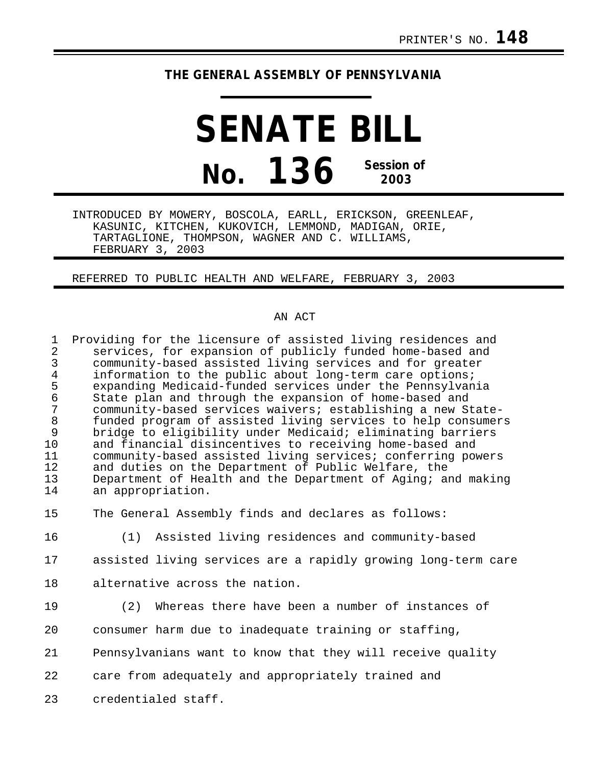## **THE GENERAL ASSEMBLY OF PENNSYLVANIA**

## **SENATE BILL No. 136 Session of 2003**

INTRODUCED BY MOWERY, BOSCOLA, EARLL, ERICKSON, GREENLEAF, KASUNIC, KITCHEN, KUKOVICH, LEMMOND, MADIGAN, ORIE, TARTAGLIONE, THOMPSON, WAGNER AND C. WILLIAMS, FEBRUARY 3, 2003

REFERRED TO PUBLIC HEALTH AND WELFARE, FEBRUARY 3, 2003

## AN ACT

| $\mathbf{1}$<br>$\overline{2}$ | Providing for the licensure of assisted living residences and<br>services, for expansion of publicly funded home-based and |
|--------------------------------|----------------------------------------------------------------------------------------------------------------------------|
| 3                              | community-based assisted living services and for greater                                                                   |
| $\,4$<br>5                     | information to the public about long-term care options;<br>expanding Medicaid-funded services under the Pennsylvania       |
| $\epsilon$                     | State plan and through the expansion of home-based and                                                                     |
| 7                              | community-based services waivers; establishing a new State-                                                                |
| $\,8\,$                        | funded program of assisted living services to help consumers                                                               |
| 9                              | bridge to eligibility under Medicaid; eliminating barriers                                                                 |
| 10                             | and financial disincentives to receiving home-based and                                                                    |
| 11                             | community-based assisted living services; conferring powers                                                                |
| 12                             | and duties on the Department of Public Welfare, the                                                                        |
| 13<br>14                       | Department of Health and the Department of Aging; and making<br>an appropriation.                                          |
|                                |                                                                                                                            |
| 15                             | The General Assembly finds and declares as follows:                                                                        |
| 16                             | (1) Assisted living residences and community-based                                                                         |
| 17                             | assisted living services are a rapidly growing long-term care                                                              |
| 18                             | alternative across the nation.                                                                                             |
| 19                             | Whereas there have been a number of instances of<br>(2)                                                                    |
| 20                             | consumer harm due to inadequate training or staffing,                                                                      |
| 21                             | Pennsylvanians want to know that they will receive quality                                                                 |

22 care from adequately and appropriately trained and

23 credentialed staff.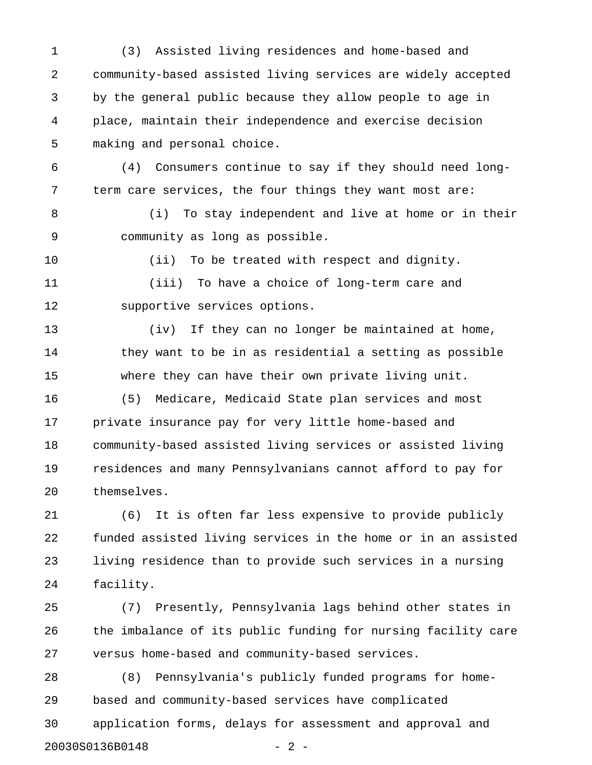1 (3) Assisted living residences and home-based and 2 community-based assisted living services are widely accepted 3 by the general public because they allow people to age in 4 place, maintain their independence and exercise decision 5 making and personal choice.

6 (4) Consumers continue to say if they should need long-7 term care services, the four things they want most are:

8 (i) To stay independent and live at home or in their 9 community as long as possible.

10 (ii) To be treated with respect and dignity.

11 (iii) To have a choice of long-term care and 12 supportive services options.

13 (iv) If they can no longer be maintained at home, 14 they want to be in as residential a setting as possible 15 where they can have their own private living unit. 16 (5) Medicare, Medicaid State plan services and most 17 private insurance pay for very little home-based and 18 community-based assisted living services or assisted living 19 residences and many Pennsylvanians cannot afford to pay for 20 themselves.

21 (6) It is often far less expensive to provide publicly 22 funded assisted living services in the home or in an assisted 23 living residence than to provide such services in a nursing 24 facility.

25 (7) Presently, Pennsylvania lags behind other states in 26 the imbalance of its public funding for nursing facility care 27 versus home-based and community-based services.

28 (8) Pennsylvania's publicly funded programs for home-29 based and community-based services have complicated 30 application forms, delays for assessment and approval and 20030S0136B0148 - 2 -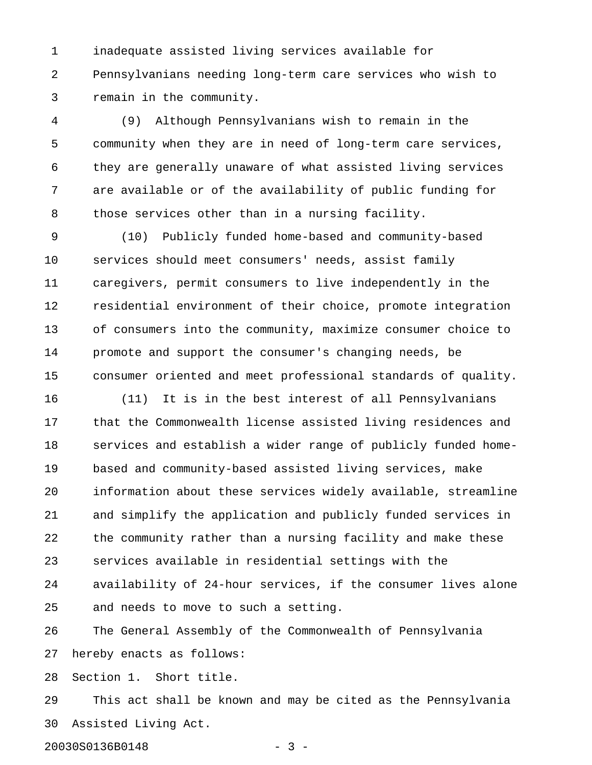1 inadequate assisted living services available for 2 Pennsylvanians needing long-term care services who wish to 3 remain in the community.

4 (9) Although Pennsylvanians wish to remain in the 5 community when they are in need of long-term care services, 6 they are generally unaware of what assisted living services 7 are available or of the availability of public funding for 8 those services other than in a nursing facility.

9 (10) Publicly funded home-based and community-based 10 services should meet consumers' needs, assist family 11 caregivers, permit consumers to live independently in the 12 residential environment of their choice, promote integration 13 of consumers into the community, maximize consumer choice to 14 promote and support the consumer's changing needs, be 15 consumer oriented and meet professional standards of quality.

16 (11) It is in the best interest of all Pennsylvanians 17 that the Commonwealth license assisted living residences and 18 services and establish a wider range of publicly funded home-19 based and community-based assisted living services, make 20 information about these services widely available, streamline 21 and simplify the application and publicly funded services in 22 the community rather than a nursing facility and make these 23 services available in residential settings with the 24 availability of 24-hour services, if the consumer lives alone 25 and needs to move to such a setting.

26 The General Assembly of the Commonwealth of Pennsylvania 27 hereby enacts as follows:

28 Section 1. Short title.

29 This act shall be known and may be cited as the Pennsylvania 30 Assisted Living Act.

20030S0136B0148 - 3 -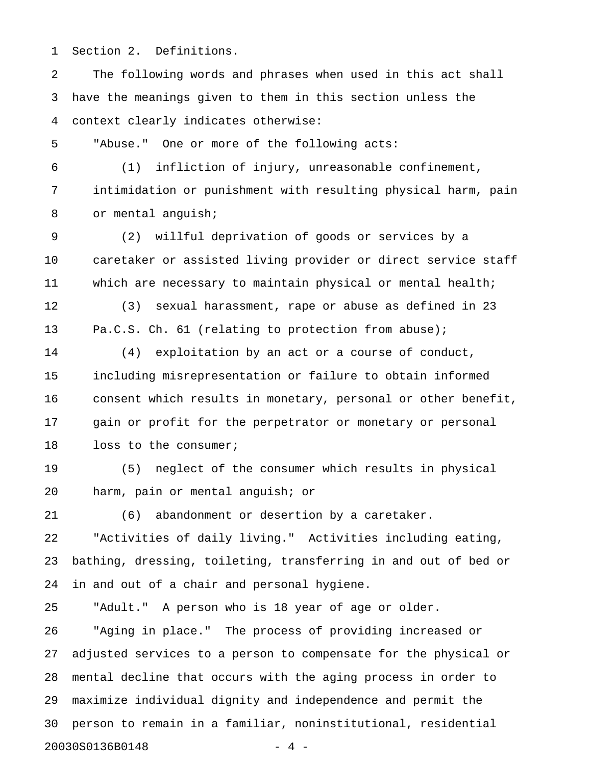1 Section 2. Definitions.

2 The following words and phrases when used in this act shall 3 have the meanings given to them in this section unless the 4 context clearly indicates otherwise:

5 "Abuse." One or more of the following acts:

6 (1) infliction of injury, unreasonable confinement, 7 intimidation or punishment with resulting physical harm, pain 8 or mental anguish;

9 (2) willful deprivation of goods or services by a 10 caretaker or assisted living provider or direct service staff 11 which are necessary to maintain physical or mental health;

12 (3) sexual harassment, rape or abuse as defined in 23 13 Pa.C.S. Ch. 61 (relating to protection from abuse);

14 (4) exploitation by an act or a course of conduct, 15 including misrepresentation or failure to obtain informed 16 consent which results in monetary, personal or other benefit, 17 gain or profit for the perpetrator or monetary or personal 18 loss to the consumer;

19 (5) neglect of the consumer which results in physical 20 harm, pain or mental anguish; or

21 (6) abandonment or desertion by a caretaker.

22 "Activities of daily living." Activities including eating, 23 bathing, dressing, toileting, transferring in and out of bed or 24 in and out of a chair and personal hygiene.

25 "Adult." A person who is 18 year of age or older.

26 "Aging in place." The process of providing increased or 27 adjusted services to a person to compensate for the physical or 28 mental decline that occurs with the aging process in order to 29 maximize individual dignity and independence and permit the 30 person to remain in a familiar, noninstitutional, residential 20030S0136B0148 - 4 -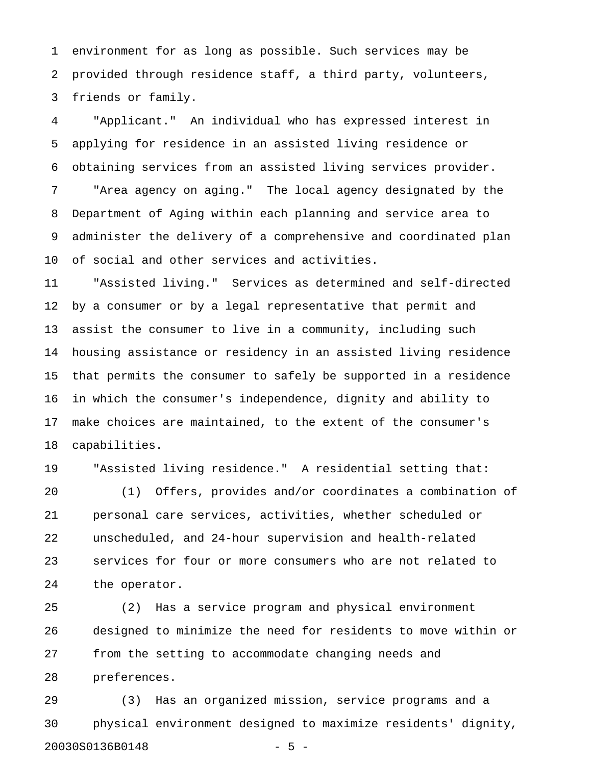1 environment for as long as possible. Such services may be 2 provided through residence staff, a third party, volunteers, 3 friends or family.

4 "Applicant." An individual who has expressed interest in 5 applying for residence in an assisted living residence or 6 obtaining services from an assisted living services provider. 7 "Area agency on aging." The local agency designated by the 8 Department of Aging within each planning and service area to 9 administer the delivery of a comprehensive and coordinated plan 10 of social and other services and activities.

11 "Assisted living." Services as determined and self-directed 12 by a consumer or by a legal representative that permit and 13 assist the consumer to live in a community, including such 14 housing assistance or residency in an assisted living residence 15 that permits the consumer to safely be supported in a residence 16 in which the consumer's independence, dignity and ability to 17 make choices are maintained, to the extent of the consumer's 18 capabilities.

19 "Assisted living residence." A residential setting that:

20 (1) Offers, provides and/or coordinates a combination of 21 personal care services, activities, whether scheduled or 22 unscheduled, and 24-hour supervision and health-related 23 services for four or more consumers who are not related to 24 the operator.

25 (2) Has a service program and physical environment 26 designed to minimize the need for residents to move within or 27 from the setting to accommodate changing needs and 28 preferences.

29 (3) Has an organized mission, service programs and a 30 physical environment designed to maximize residents' dignity, 20030S0136B0148 - 5 -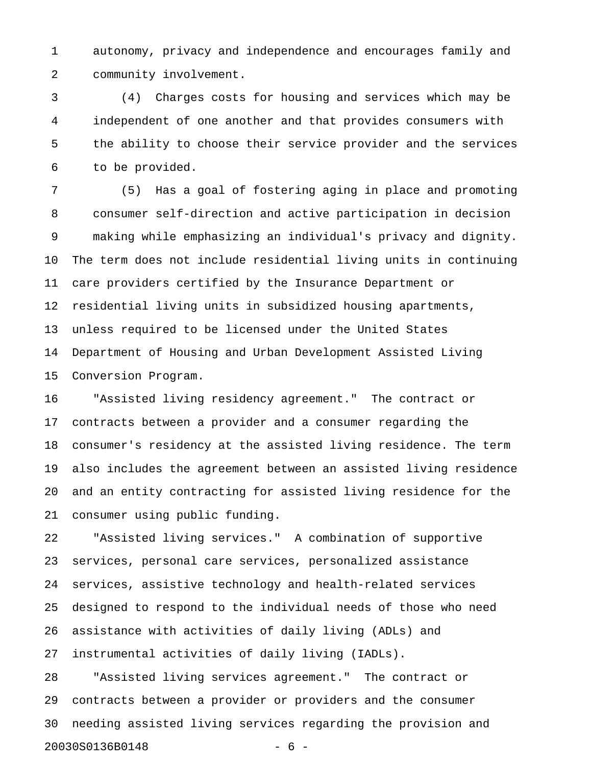1 autonomy, privacy and independence and encourages family and 2 community involvement.

3 (4) Charges costs for housing and services which may be 4 independent of one another and that provides consumers with 5 the ability to choose their service provider and the services 6 to be provided.

7 (5) Has a goal of fostering aging in place and promoting 8 consumer self-direction and active participation in decision 9 making while emphasizing an individual's privacy and dignity. 10 The term does not include residential living units in continuing 11 care providers certified by the Insurance Department or 12 residential living units in subsidized housing apartments, 13 unless required to be licensed under the United States 14 Department of Housing and Urban Development Assisted Living 15 Conversion Program.

16 "Assisted living residency agreement." The contract or 17 contracts between a provider and a consumer regarding the 18 consumer's residency at the assisted living residence. The term 19 also includes the agreement between an assisted living residence 20 and an entity contracting for assisted living residence for the 21 consumer using public funding.

22 "Assisted living services." A combination of supportive 23 services, personal care services, personalized assistance 24 services, assistive technology and health-related services 25 designed to respond to the individual needs of those who need 26 assistance with activities of daily living (ADLs) and 27 instrumental activities of daily living (IADLs).

28 "Assisted living services agreement." The contract or 29 contracts between a provider or providers and the consumer 30 needing assisted living services regarding the provision and 20030S0136B0148 - 6 -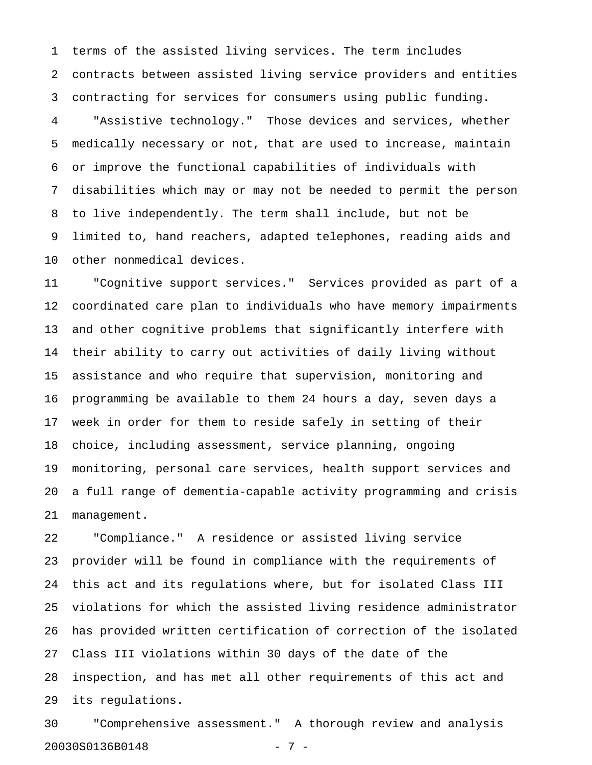1 terms of the assisted living services. The term includes 2 contracts between assisted living service providers and entities 3 contracting for services for consumers using public funding.

4 "Assistive technology." Those devices and services, whether 5 medically necessary or not, that are used to increase, maintain 6 or improve the functional capabilities of individuals with 7 disabilities which may or may not be needed to permit the person 8 to live independently. The term shall include, but not be 9 limited to, hand reachers, adapted telephones, reading aids and 10 other nonmedical devices.

11 "Cognitive support services." Services provided as part of a 12 coordinated care plan to individuals who have memory impairments 13 and other cognitive problems that significantly interfere with 14 their ability to carry out activities of daily living without 15 assistance and who require that supervision, monitoring and 16 programming be available to them 24 hours a day, seven days a 17 week in order for them to reside safely in setting of their 18 choice, including assessment, service planning, ongoing 19 monitoring, personal care services, health support services and 20 a full range of dementia-capable activity programming and crisis 21 management.

22 "Compliance." A residence or assisted living service 23 provider will be found in compliance with the requirements of 24 this act and its regulations where, but for isolated Class III 25 violations for which the assisted living residence administrator 26 has provided written certification of correction of the isolated 27 Class III violations within 30 days of the date of the 28 inspection, and has met all other requirements of this act and 29 its regulations.

30 "Comprehensive assessment." A thorough review and analysis 20030S0136B0148 - 7 -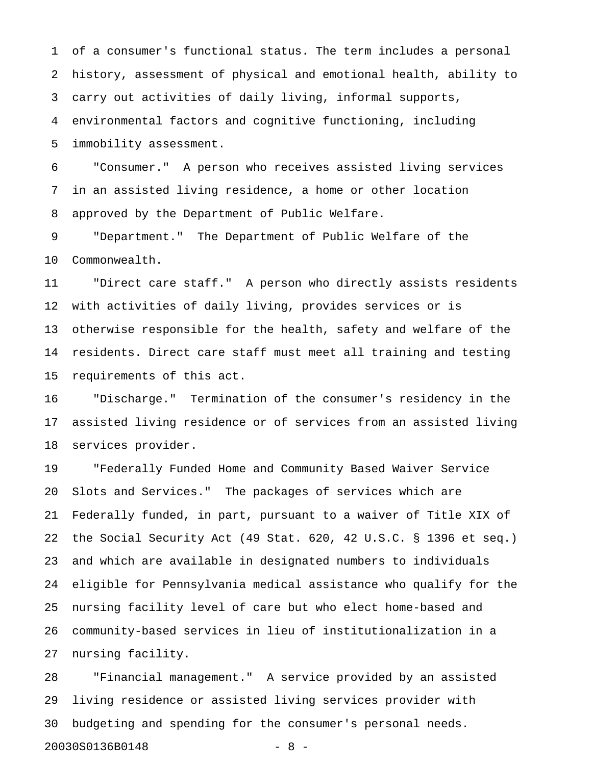1 of a consumer's functional status. The term includes a personal 2 history, assessment of physical and emotional health, ability to 3 carry out activities of daily living, informal supports, 4 environmental factors and cognitive functioning, including 5 immobility assessment.

6 "Consumer." A person who receives assisted living services 7 in an assisted living residence, a home or other location 8 approved by the Department of Public Welfare.

9 "Department." The Department of Public Welfare of the 10 Commonwealth.

11 "Direct care staff." A person who directly assists residents 12 with activities of daily living, provides services or is 13 otherwise responsible for the health, safety and welfare of the 14 residents. Direct care staff must meet all training and testing 15 requirements of this act.

16 "Discharge." Termination of the consumer's residency in the 17 assisted living residence or of services from an assisted living 18 services provider.

19 "Federally Funded Home and Community Based Waiver Service 20 Slots and Services." The packages of services which are 21 Federally funded, in part, pursuant to a waiver of Title XIX of 22 the Social Security Act (49 Stat. 620, 42 U.S.C. § 1396 et seq.) 23 and which are available in designated numbers to individuals 24 eligible for Pennsylvania medical assistance who qualify for the 25 nursing facility level of care but who elect home-based and 26 community-based services in lieu of institutionalization in a 27 nursing facility.

28 "Financial management." A service provided by an assisted 29 living residence or assisted living services provider with 30 budgeting and spending for the consumer's personal needs. 20030S0136B0148 - 8 -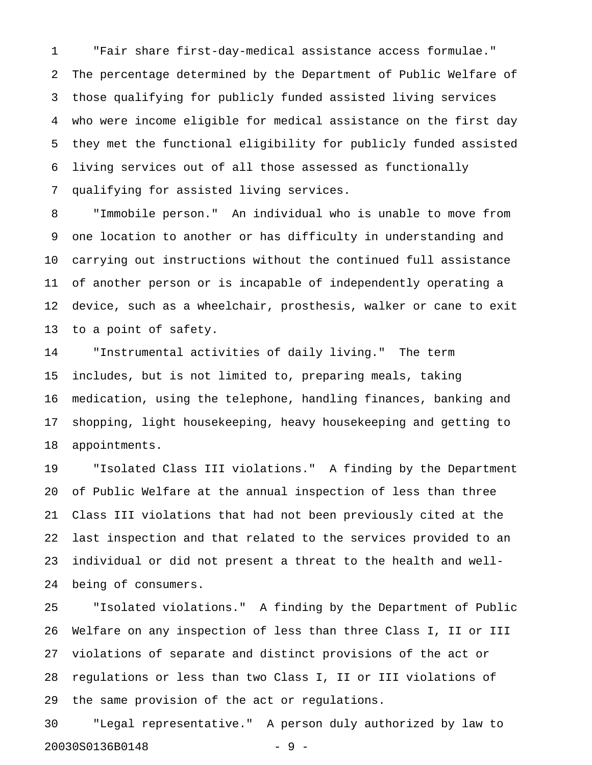1 "Fair share first-day-medical assistance access formulae." 2 The percentage determined by the Department of Public Welfare of 3 those qualifying for publicly funded assisted living services 4 who were income eligible for medical assistance on the first day 5 they met the functional eligibility for publicly funded assisted 6 living services out of all those assessed as functionally 7 qualifying for assisted living services.

8 "Immobile person." An individual who is unable to move from 9 one location to another or has difficulty in understanding and 10 carrying out instructions without the continued full assistance 11 of another person or is incapable of independently operating a 12 device, such as a wheelchair, prosthesis, walker or cane to exit 13 to a point of safety.

14 "Instrumental activities of daily living." The term 15 includes, but is not limited to, preparing meals, taking 16 medication, using the telephone, handling finances, banking and 17 shopping, light housekeeping, heavy housekeeping and getting to 18 appointments.

19 "Isolated Class III violations." A finding by the Department 20 of Public Welfare at the annual inspection of less than three 21 Class III violations that had not been previously cited at the 22 last inspection and that related to the services provided to an 23 individual or did not present a threat to the health and well-24 being of consumers.

25 "Isolated violations." A finding by the Department of Public 26 Welfare on any inspection of less than three Class I, II or III 27 violations of separate and distinct provisions of the act or 28 regulations or less than two Class I, II or III violations of 29 the same provision of the act or regulations.

30 "Legal representative." A person duly authorized by law to 20030S0136B0148 - 9 -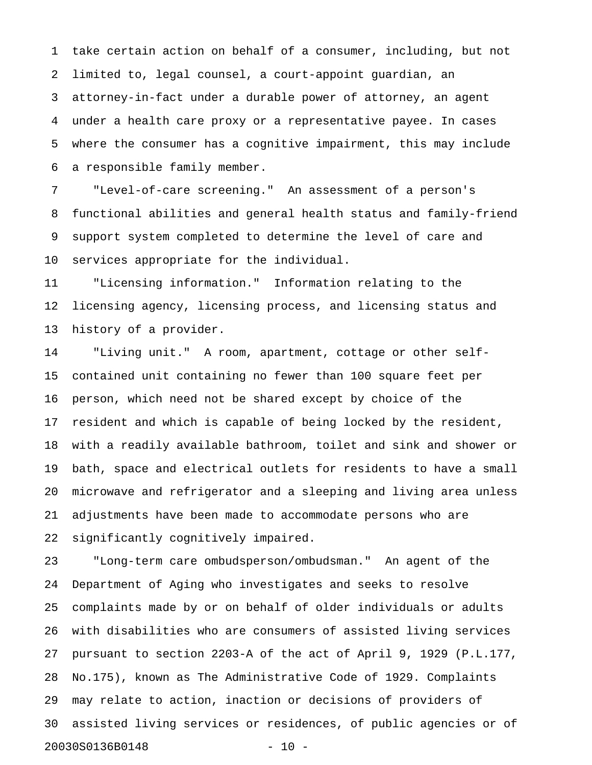1 take certain action on behalf of a consumer, including, but not 2 limited to, legal counsel, a court-appoint guardian, an 3 attorney-in-fact under a durable power of attorney, an agent 4 under a health care proxy or a representative payee. In cases 5 where the consumer has a cognitive impairment, this may include 6 a responsible family member.

7 "Level-of-care screening." An assessment of a person's 8 functional abilities and general health status and family-friend 9 support system completed to determine the level of care and 10 services appropriate for the individual.

11 "Licensing information." Information relating to the 12 licensing agency, licensing process, and licensing status and 13 history of a provider.

14 "Living unit." A room, apartment, cottage or other self-15 contained unit containing no fewer than 100 square feet per 16 person, which need not be shared except by choice of the 17 resident and which is capable of being locked by the resident, 18 with a readily available bathroom, toilet and sink and shower or 19 bath, space and electrical outlets for residents to have a small 20 microwave and refrigerator and a sleeping and living area unless 21 adjustments have been made to accommodate persons who are 22 significantly cognitively impaired.

23 "Long-term care ombudsperson/ombudsman." An agent of the 24 Department of Aging who investigates and seeks to resolve 25 complaints made by or on behalf of older individuals or adults 26 with disabilities who are consumers of assisted living services 27 pursuant to section 2203-A of the act of April 9, 1929 (P.L.177, 28 No.175), known as The Administrative Code of 1929. Complaints 29 may relate to action, inaction or decisions of providers of 30 assisted living services or residences, of public agencies or of 20030S0136B0148 - 10 -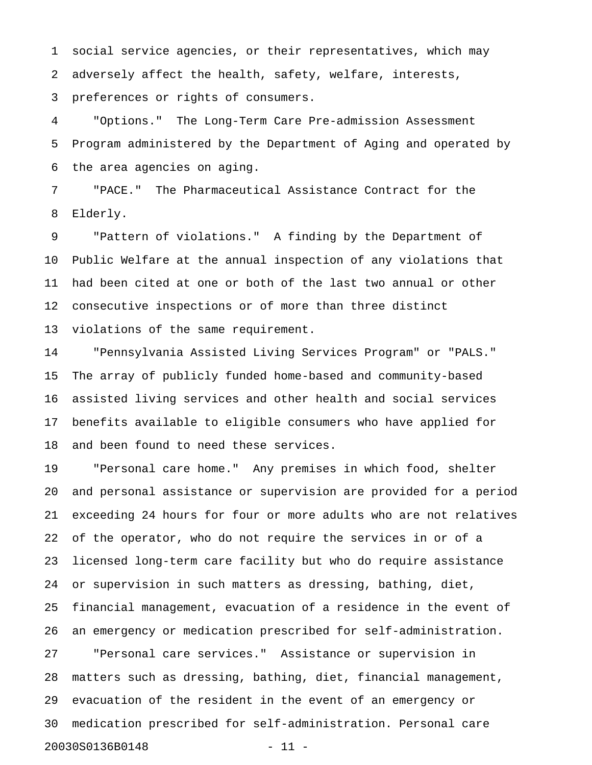1 social service agencies, or their representatives, which may 2 adversely affect the health, safety, welfare, interests, 3 preferences or rights of consumers.

4 "Options." The Long-Term Care Pre-admission Assessment 5 Program administered by the Department of Aging and operated by 6 the area agencies on aging.

7 "PACE." The Pharmaceutical Assistance Contract for the 8 Elderly.

9 "Pattern of violations." A finding by the Department of 10 Public Welfare at the annual inspection of any violations that 11 had been cited at one or both of the last two annual or other 12 consecutive inspections or of more than three distinct 13 violations of the same requirement.

14 "Pennsylvania Assisted Living Services Program" or "PALS." 15 The array of publicly funded home-based and community-based 16 assisted living services and other health and social services 17 benefits available to eligible consumers who have applied for 18 and been found to need these services.

19 "Personal care home." Any premises in which food, shelter 20 and personal assistance or supervision are provided for a period 21 exceeding 24 hours for four or more adults who are not relatives 22 of the operator, who do not require the services in or of a 23 licensed long-term care facility but who do require assistance 24 or supervision in such matters as dressing, bathing, diet, 25 financial management, evacuation of a residence in the event of 26 an emergency or medication prescribed for self-administration. 27 "Personal care services." Assistance or supervision in

28 matters such as dressing, bathing, diet, financial management, 29 evacuation of the resident in the event of an emergency or 30 medication prescribed for self-administration. Personal care 20030S0136B0148 - 11 -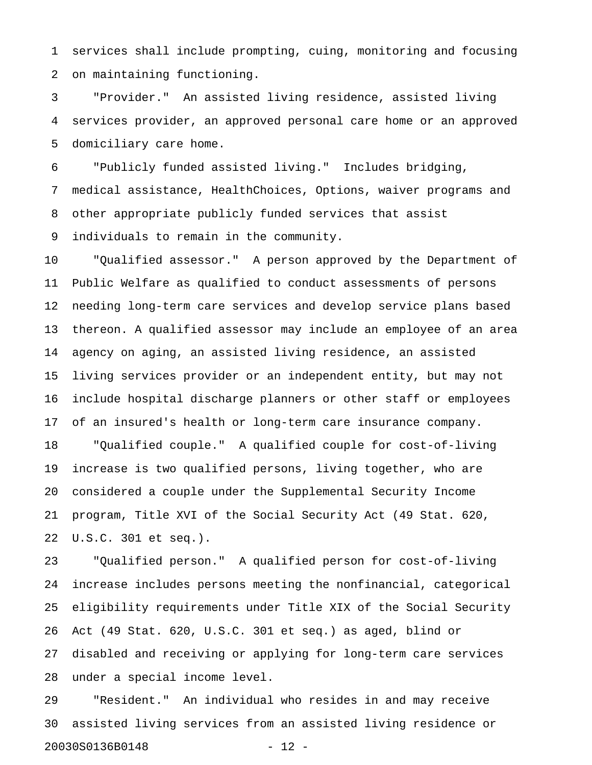1 services shall include prompting, cuing, monitoring and focusing 2 on maintaining functioning.

3 "Provider." An assisted living residence, assisted living 4 services provider, an approved personal care home or an approved 5 domiciliary care home.

6 "Publicly funded assisted living." Includes bridging, 7 medical assistance, HealthChoices, Options, waiver programs and 8 other appropriate publicly funded services that assist 9 individuals to remain in the community.

10 "Qualified assessor." A person approved by the Department of 11 Public Welfare as qualified to conduct assessments of persons 12 needing long-term care services and develop service plans based 13 thereon. A qualified assessor may include an employee of an area 14 agency on aging, an assisted living residence, an assisted 15 living services provider or an independent entity, but may not 16 include hospital discharge planners or other staff or employees 17 of an insured's health or long-term care insurance company. 18 "Qualified couple." A qualified couple for cost-of-living 19 increase is two qualified persons, living together, who are 20 considered a couple under the Supplemental Security Income 21 program, Title XVI of the Social Security Act (49 Stat. 620, 22 U.S.C. 301 et seq.).

23 "Qualified person." A qualified person for cost-of-living 24 increase includes persons meeting the nonfinancial, categorical 25 eligibility requirements under Title XIX of the Social Security 26 Act (49 Stat. 620, U.S.C. 301 et seq.) as aged, blind or 27 disabled and receiving or applying for long-term care services 28 under a special income level.

29 "Resident." An individual who resides in and may receive 30 assisted living services from an assisted living residence or 20030S0136B0148 - 12 -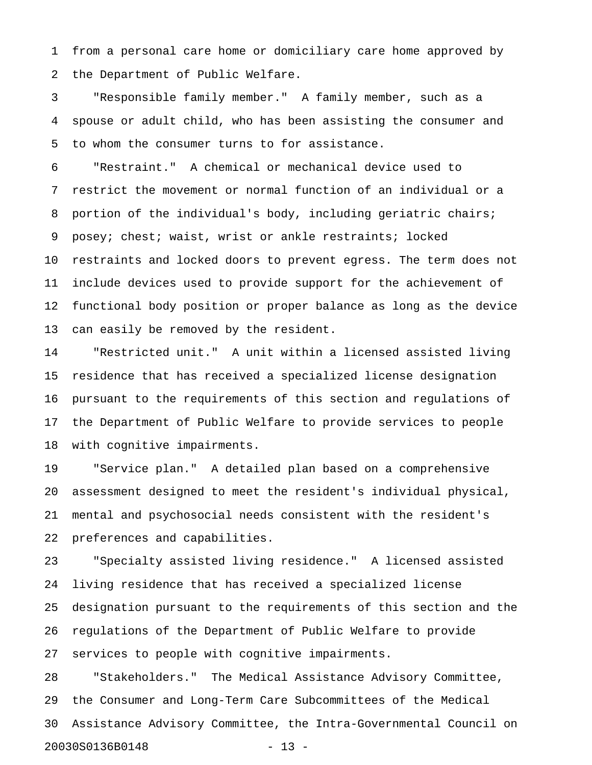1 from a personal care home or domiciliary care home approved by 2 the Department of Public Welfare.

3 "Responsible family member." A family member, such as a 4 spouse or adult child, who has been assisting the consumer and 5 to whom the consumer turns to for assistance.

6 "Restraint." A chemical or mechanical device used to 7 restrict the movement or normal function of an individual or a 8 portion of the individual's body, including geriatric chairs; 9 posey; chest; waist, wrist or ankle restraints; locked 10 restraints and locked doors to prevent egress. The term does not 11 include devices used to provide support for the achievement of 12 functional body position or proper balance as long as the device 13 can easily be removed by the resident.

14 "Restricted unit." A unit within a licensed assisted living 15 residence that has received a specialized license designation 16 pursuant to the requirements of this section and regulations of 17 the Department of Public Welfare to provide services to people 18 with cognitive impairments.

19 "Service plan." A detailed plan based on a comprehensive 20 assessment designed to meet the resident's individual physical, 21 mental and psychosocial needs consistent with the resident's 22 preferences and capabilities.

23 "Specialty assisted living residence." A licensed assisted 24 living residence that has received a specialized license 25 designation pursuant to the requirements of this section and the 26 regulations of the Department of Public Welfare to provide 27 services to people with cognitive impairments.

28 "Stakeholders." The Medical Assistance Advisory Committee, 29 the Consumer and Long-Term Care Subcommittees of the Medical 30 Assistance Advisory Committee, the Intra-Governmental Council on 20030S0136B0148 - 13 -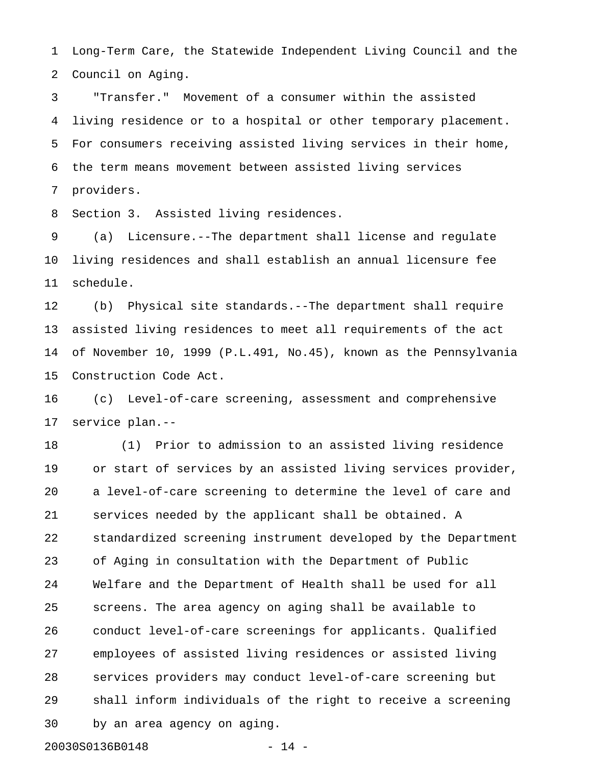1 Long-Term Care, the Statewide Independent Living Council and the 2 Council on Aging.

3 "Transfer." Movement of a consumer within the assisted 4 living residence or to a hospital or other temporary placement. 5 For consumers receiving assisted living services in their home, 6 the term means movement between assisted living services 7 providers.

8 Section 3. Assisted living residences.

9 (a) Licensure.--The department shall license and regulate 10 living residences and shall establish an annual licensure fee 11 schedule.

12 (b) Physical site standards.--The department shall require 13 assisted living residences to meet all requirements of the act 14 of November 10, 1999 (P.L.491, No.45), known as the Pennsylvania 15 Construction Code Act.

16 (c) Level-of-care screening, assessment and comprehensive 17 service plan.--

18 (1) Prior to admission to an assisted living residence 19 or start of services by an assisted living services provider, 20 a level-of-care screening to determine the level of care and 21 services needed by the applicant shall be obtained. A 22 standardized screening instrument developed by the Department 23 of Aging in consultation with the Department of Public 24 Welfare and the Department of Health shall be used for all 25 screens. The area agency on aging shall be available to 26 conduct level-of-care screenings for applicants. Qualified 27 employees of assisted living residences or assisted living 28 services providers may conduct level-of-care screening but 29 shall inform individuals of the right to receive a screening 30 by an area agency on aging.

20030S0136B0148 - 14 -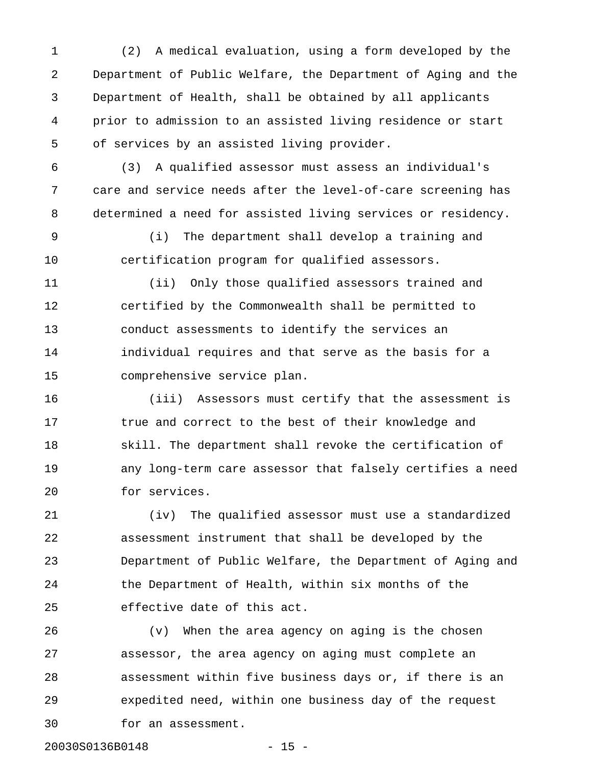1 (2) A medical evaluation, using a form developed by the 2 Department of Public Welfare, the Department of Aging and the 3 Department of Health, shall be obtained by all applicants 4 prior to admission to an assisted living residence or start 5 of services by an assisted living provider.

6 (3) A qualified assessor must assess an individual's 7 care and service needs after the level-of-care screening has 8 determined a need for assisted living services or residency.

9 (i) The department shall develop a training and 10 certification program for qualified assessors.

11 (ii) Only those qualified assessors trained and 12 certified by the Commonwealth shall be permitted to 13 conduct assessments to identify the services an 14 individual requires and that serve as the basis for a 15 comprehensive service plan.

16 (iii) Assessors must certify that the assessment is 17 true and correct to the best of their knowledge and 18 skill. The department shall revoke the certification of 19 any long-term care assessor that falsely certifies a need 20 for services.

21 (iv) The qualified assessor must use a standardized 22 assessment instrument that shall be developed by the 23 Department of Public Welfare, the Department of Aging and 24 the Department of Health, within six months of the 25 effective date of this act.

26 (v) When the area agency on aging is the chosen 27 assessor, the area agency on aging must complete an 28 assessment within five business days or, if there is an 29 expedited need, within one business day of the request 30 for an assessment.

20030S0136B0148 - 15 -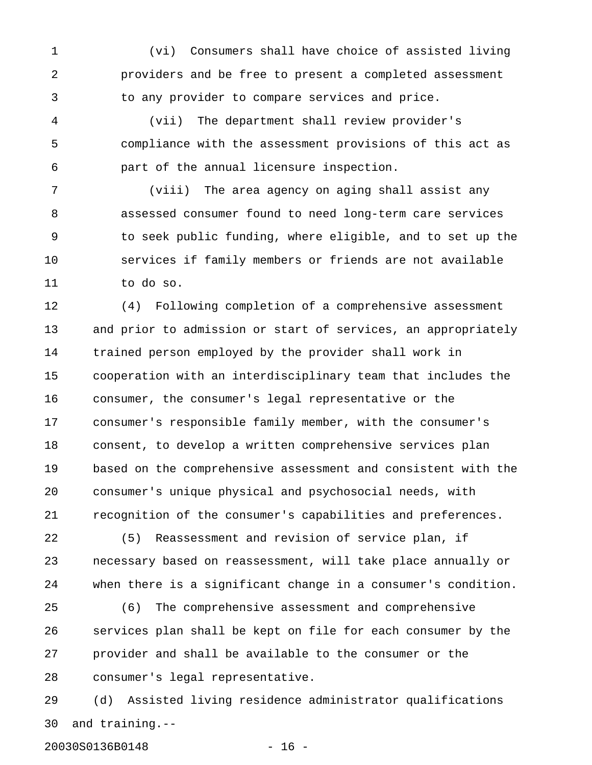1 (vi) Consumers shall have choice of assisted living 2 providers and be free to present a completed assessment 3 to any provider to compare services and price.

4 (vii) The department shall review provider's 5 compliance with the assessment provisions of this act as 6 part of the annual licensure inspection.

7 (viii) The area agency on aging shall assist any 8 assessed consumer found to need long-term care services 9 to seek public funding, where eligible, and to set up the 10 services if family members or friends are not available 11 to do so.

12 (4) Following completion of a comprehensive assessment 13 and prior to admission or start of services, an appropriately 14 trained person employed by the provider shall work in 15 cooperation with an interdisciplinary team that includes the 16 consumer, the consumer's legal representative or the 17 consumer's responsible family member, with the consumer's 18 consent, to develop a written comprehensive services plan 19 based on the comprehensive assessment and consistent with the 20 consumer's unique physical and psychosocial needs, with 21 recognition of the consumer's capabilities and preferences.

22 (5) Reassessment and revision of service plan, if 23 necessary based on reassessment, will take place annually or 24 when there is a significant change in a consumer's condition.

25 (6) The comprehensive assessment and comprehensive 26 services plan shall be kept on file for each consumer by the 27 provider and shall be available to the consumer or the 28 consumer's legal representative.

29 (d) Assisted living residence administrator qualifications 30 and training.--

20030S0136B0148 - 16 -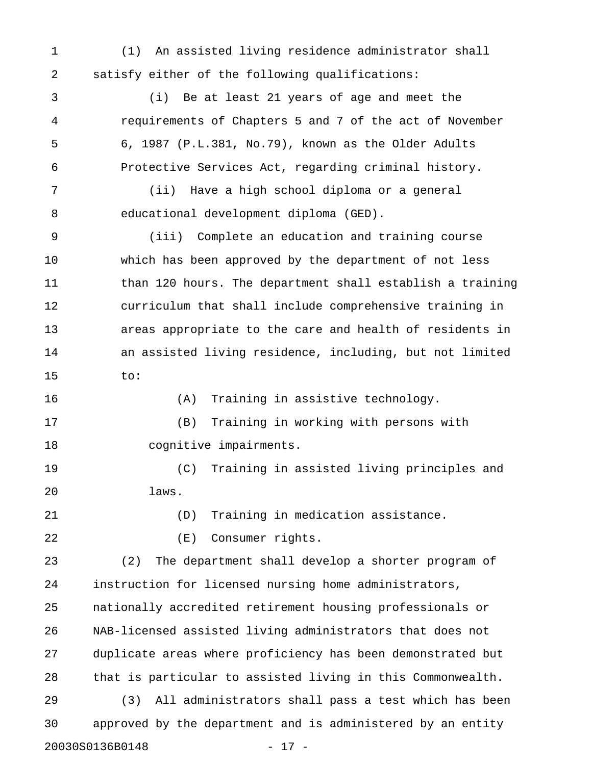1 (1) An assisted living residence administrator shall 2 satisfy either of the following qualifications:

3 (i) Be at least 21 years of age and meet the 4 requirements of Chapters 5 and 7 of the act of November 5 6, 1987 (P.L.381, No.79), known as the Older Adults 6 Protective Services Act, regarding criminal history.

7 (ii) Have a high school diploma or a general 8 educational development diploma (GED).

9 (iii) Complete an education and training course 10 which has been approved by the department of not less 11 than 120 hours. The department shall establish a training 12 curriculum that shall include comprehensive training in 13 areas appropriate to the care and health of residents in 14 an assisted living residence, including, but not limited 15 to:

16 (A) Training in assistive technology.

17 (B) Training in working with persons with 18 cognitive impairments.

19 (C) Training in assisted living principles and 20 laws.

21 (D) Training in medication assistance.

22 (E) Consumer rights.

23 (2) The department shall develop a shorter program of 24 instruction for licensed nursing home administrators, 25 nationally accredited retirement housing professionals or 26 NAB-licensed assisted living administrators that does not 27 duplicate areas where proficiency has been demonstrated but 28 that is particular to assisted living in this Commonwealth.

29 (3) All administrators shall pass a test which has been 30 approved by the department and is administered by an entity 20030S0136B0148 - 17 -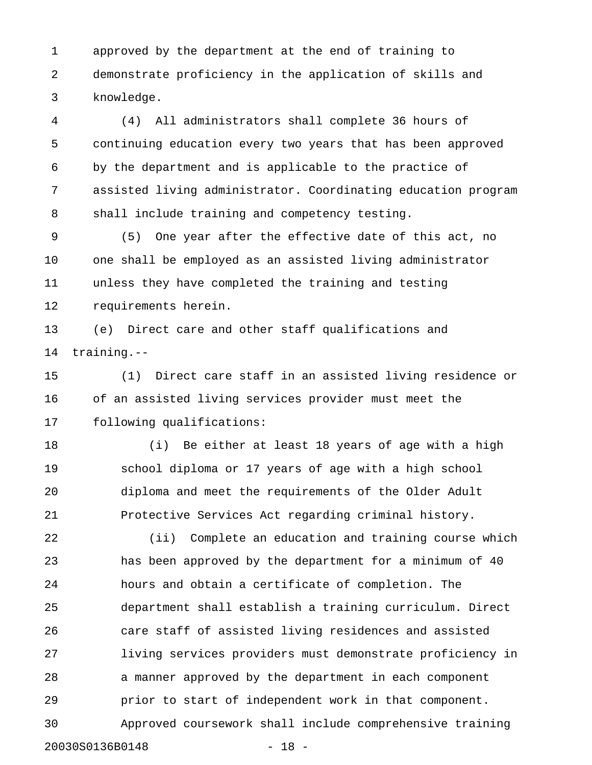1 approved by the department at the end of training to 2 demonstrate proficiency in the application of skills and 3 knowledge.

4 (4) All administrators shall complete 36 hours of 5 continuing education every two years that has been approved 6 by the department and is applicable to the practice of 7 assisted living administrator. Coordinating education program 8 shall include training and competency testing.

9 (5) One year after the effective date of this act, no 10 one shall be employed as an assisted living administrator 11 unless they have completed the training and testing 12 requirements herein.

13 (e) Direct care and other staff qualifications and 14 training.--

15 (1) Direct care staff in an assisted living residence or 16 of an assisted living services provider must meet the 17 following qualifications:

18 (i) Be either at least 18 years of age with a high 19 school diploma or 17 years of age with a high school 20 diploma and meet the requirements of the Older Adult 21 Protective Services Act regarding criminal history.

22 (ii) Complete an education and training course which 23 has been approved by the department for a minimum of 40 24 hours and obtain a certificate of completion. The 25 department shall establish a training curriculum. Direct 26 care staff of assisted living residences and assisted 27 living services providers must demonstrate proficiency in 28 a manner approved by the department in each component 29 prior to start of independent work in that component. 30 Approved coursework shall include comprehensive training

20030S0136B0148 - 18 -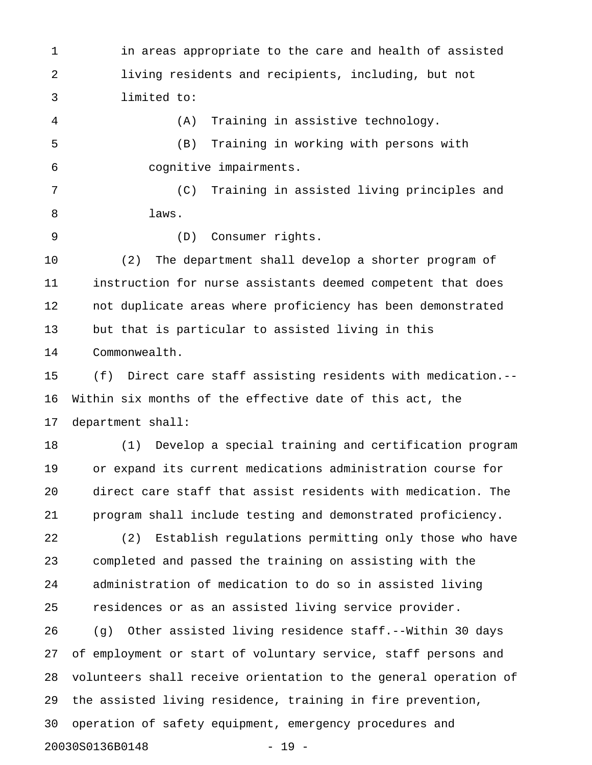1 in areas appropriate to the care and health of assisted 2 living residents and recipients, including, but not 3 limited to:

4 (A) Training in assistive technology. 5 (B) Training in working with persons with 6 cognitive impairments.

7 (C) Training in assisted living principles and 8 laws.

9 (D) Consumer rights.

10 (2) The department shall develop a shorter program of 11 instruction for nurse assistants deemed competent that does 12 not duplicate areas where proficiency has been demonstrated 13 but that is particular to assisted living in this 14 Commonwealth.

15 (f) Direct care staff assisting residents with medication.-- 16 Within six months of the effective date of this act, the 17 department shall:

18 (1) Develop a special training and certification program 19 or expand its current medications administration course for 20 direct care staff that assist residents with medication. The 21 program shall include testing and demonstrated proficiency.

22 (2) Establish regulations permitting only those who have 23 completed and passed the training on assisting with the 24 administration of medication to do so in assisted living 25 residences or as an assisted living service provider. 26 (g) Other assisted living residence staff.--Within 30 days 27 of employment or start of voluntary service, staff persons and 28 volunteers shall receive orientation to the general operation of 29 the assisted living residence, training in fire prevention, 30 operation of safety equipment, emergency procedures and 20030S0136B0148 - 19 -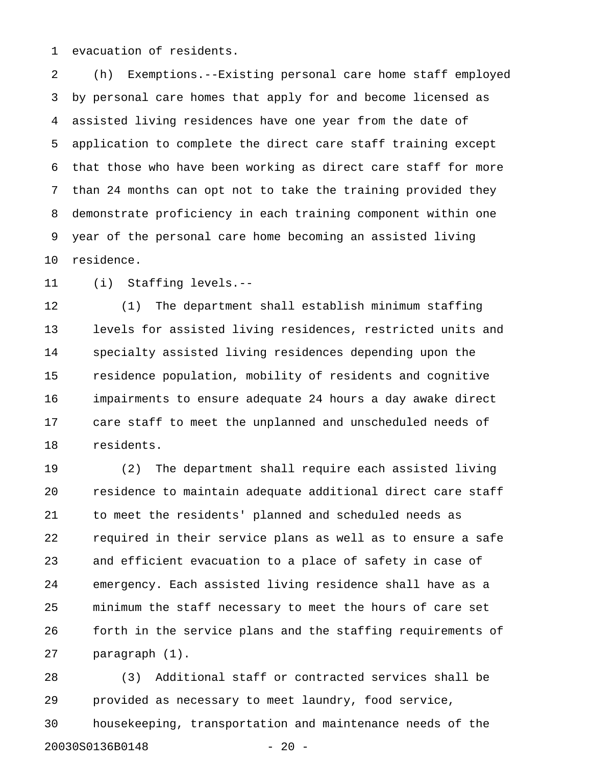1 evacuation of residents.

2 (h) Exemptions.--Existing personal care home staff employed 3 by personal care homes that apply for and become licensed as 4 assisted living residences have one year from the date of 5 application to complete the direct care staff training except 6 that those who have been working as direct care staff for more 7 than 24 months can opt not to take the training provided they 8 demonstrate proficiency in each training component within one 9 year of the personal care home becoming an assisted living 10 residence.

11 (i) Staffing levels.--

12 (1) The department shall establish minimum staffing 13 levels for assisted living residences, restricted units and 14 specialty assisted living residences depending upon the 15 residence population, mobility of residents and cognitive 16 impairments to ensure adequate 24 hours a day awake direct 17 care staff to meet the unplanned and unscheduled needs of 18 residents.

19 (2) The department shall require each assisted living 20 residence to maintain adequate additional direct care staff 21 to meet the residents' planned and scheduled needs as 22 required in their service plans as well as to ensure a safe 23 and efficient evacuation to a place of safety in case of 24 emergency. Each assisted living residence shall have as a 25 minimum the staff necessary to meet the hours of care set 26 forth in the service plans and the staffing requirements of 27 paragraph (1).

28 (3) Additional staff or contracted services shall be 29 provided as necessary to meet laundry, food service, 30 housekeeping, transportation and maintenance needs of the 20030S0136B0148 - 20 -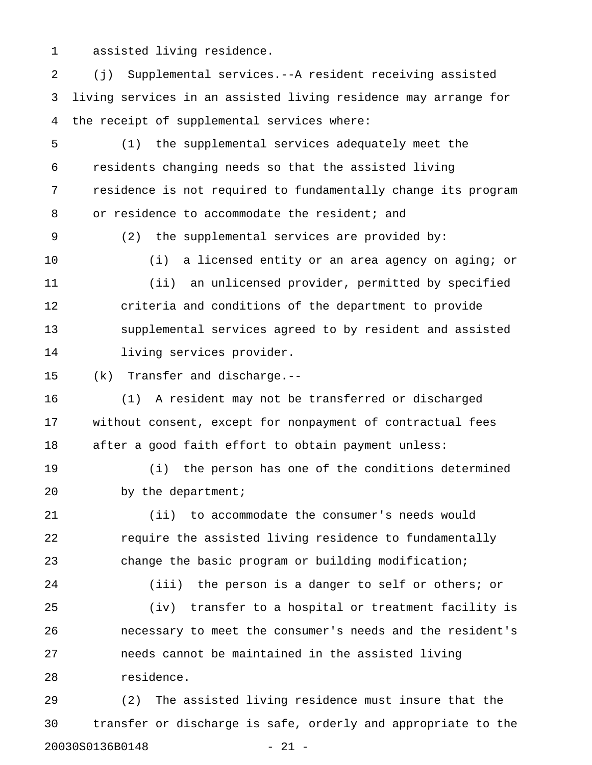1 assisted living residence.

2 (j) Supplemental services.--A resident receiving assisted 3 living services in an assisted living residence may arrange for 4 the receipt of supplemental services where:

5 (1) the supplemental services adequately meet the 6 residents changing needs so that the assisted living 7 residence is not required to fundamentally change its program 8 or residence to accommodate the resident; and

9 (2) the supplemental services are provided by:

10 (i) a licensed entity or an area agency on aging; or 11 (ii) an unlicensed provider, permitted by specified 12 criteria and conditions of the department to provide 13 supplemental services agreed to by resident and assisted

14 living services provider.

15 (k) Transfer and discharge.--

16 (1) A resident may not be transferred or discharged 17 without consent, except for nonpayment of contractual fees 18 after a good faith effort to obtain payment unless:

19 (i) the person has one of the conditions determined 20 by the department;

21 (ii) to accommodate the consumer's needs would 22 **require the assisted living residence to fundamentally** 23 change the basic program or building modification;

24 (iii) the person is a danger to self or others; or 25 (iv) transfer to a hospital or treatment facility is 26 necessary to meet the consumer's needs and the resident's 27 needs cannot be maintained in the assisted living 28 residence.

29 (2) The assisted living residence must insure that the 30 transfer or discharge is safe, orderly and appropriate to the 20030S0136B0148 - 21 -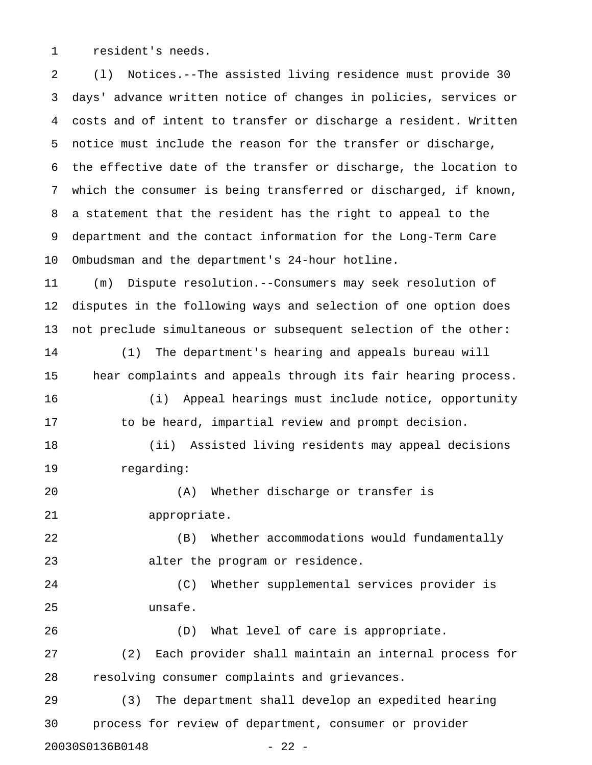1 resident's needs.

2 (l) Notices.--The assisted living residence must provide 30 3 days' advance written notice of changes in policies, services or 4 costs and of intent to transfer or discharge a resident. Written 5 notice must include the reason for the transfer or discharge, 6 the effective date of the transfer or discharge, the location to 7 which the consumer is being transferred or discharged, if known, 8 a statement that the resident has the right to appeal to the 9 department and the contact information for the Long-Term Care 10 Ombudsman and the department's 24-hour hotline. 11 (m) Dispute resolution.--Consumers may seek resolution of 12 disputes in the following ways and selection of one option does 13 not preclude simultaneous or subsequent selection of the other: 14 (1) The department's hearing and appeals bureau will 15 hear complaints and appeals through its fair hearing process. 16 (i) Appeal hearings must include notice, opportunity 17 to be heard, impartial review and prompt decision. 18 (ii) Assisted living residents may appeal decisions 19 regarding: 20 (A) Whether discharge or transfer is 21 appropriate. 22 (B) Whether accommodations would fundamentally 23 alter the program or residence. 24 (C) Whether supplemental services provider is 25 unsafe. 26 (D) What level of care is appropriate. 27 (2) Each provider shall maintain an internal process for 28 resolving consumer complaints and grievances. 29 (3) The department shall develop an expedited hearing

30 process for review of department, consumer or provider 20030S0136B0148 - 22 -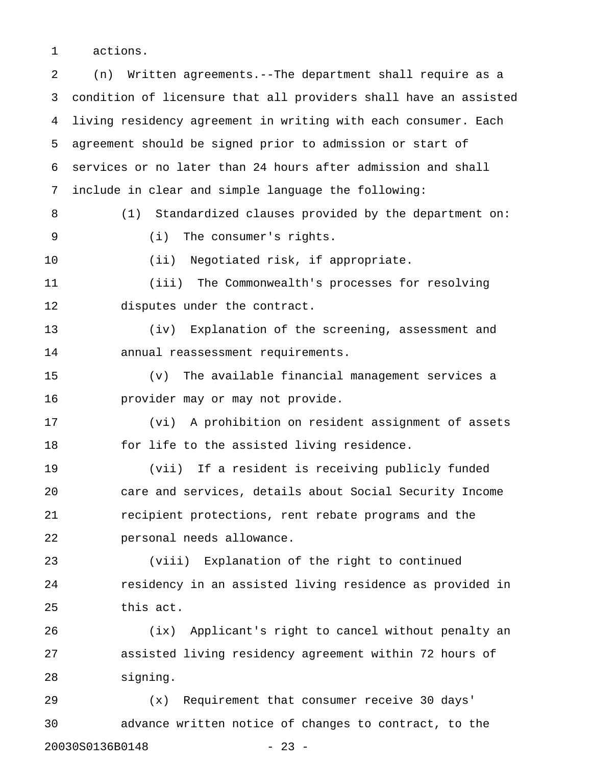1 actions.

2 (n) Written agreements.--The department shall require as a 3 condition of licensure that all providers shall have an assisted 4 living residency agreement in writing with each consumer. Each 5 agreement should be signed prior to admission or start of 6 services or no later than 24 hours after admission and shall 7 include in clear and simple language the following: 8 (1) Standardized clauses provided by the department on: 9 (i) The consumer's rights. 10 (ii) Negotiated risk, if appropriate. 11 (iii) The Commonwealth's processes for resolving 12 disputes under the contract. 13 (iv) Explanation of the screening, assessment and 14 annual reassessment requirements. 15 (v) The available financial management services a 16 provider may or may not provide. 17 (vi) A prohibition on resident assignment of assets 18 for life to the assisted living residence. 19 (vii) If a resident is receiving publicly funded 20 care and services, details about Social Security Income 21 recipient protections, rent rebate programs and the 22 personal needs allowance. 23 (viii) Explanation of the right to continued 24 residency in an assisted living residence as provided in 25 this act. 26 (ix) Applicant's right to cancel without penalty an 27 assisted living residency agreement within 72 hours of 28 signing. 29 (x) Requirement that consumer receive 30 days' 30 advance written notice of changes to contract, to the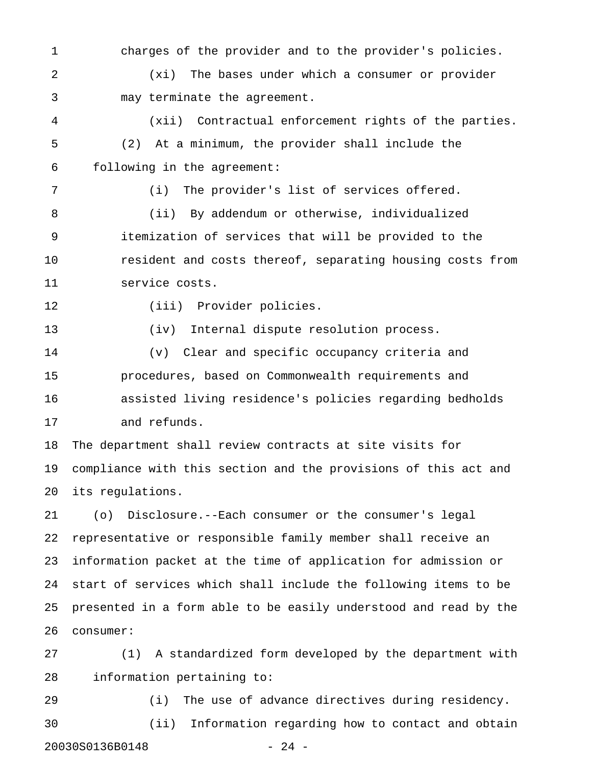1 charges of the provider and to the provider's policies. 2 (xi) The bases under which a consumer or provider 3 may terminate the agreement. 4 (xii) Contractual enforcement rights of the parties. 5 (2) At a minimum, the provider shall include the 6 following in the agreement: 7 (i) The provider's list of services offered. 8 (ii) By addendum or otherwise, individualized 9 itemization of services that will be provided to the 10 resident and costs thereof, separating housing costs from 11 service costs. 12 (iii) Provider policies. 13 (iv) Internal dispute resolution process. 14 (v) Clear and specific occupancy criteria and 15 procedures, based on Commonwealth requirements and 16 assisted living residence's policies regarding bedholds 17 and refunds. 18 The department shall review contracts at site visits for 19 compliance with this section and the provisions of this act and 20 its regulations. 21 (o) Disclosure.--Each consumer or the consumer's legal

22 representative or responsible family member shall receive an 23 information packet at the time of application for admission or 24 start of services which shall include the following items to be 25 presented in a form able to be easily understood and read by the 26 consumer:

27 (1) A standardized form developed by the department with 28 information pertaining to:

29 (i) The use of advance directives during residency. 30 (ii) Information regarding how to contact and obtain 20030S0136B0148 - 24 -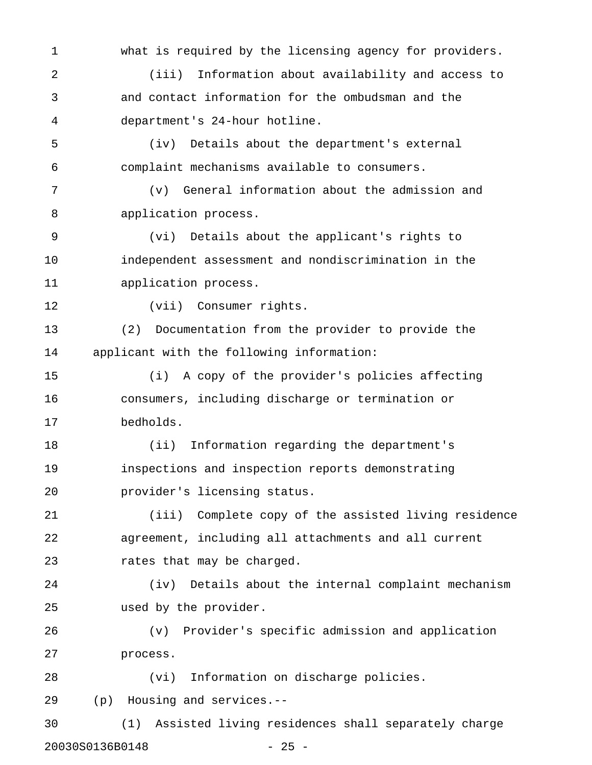1 what is required by the licensing agency for providers. 2 (iii) Information about availability and access to 3 and contact information for the ombudsman and the 4 department's 24-hour hotline. 5 (iv) Details about the department's external 6 complaint mechanisms available to consumers. 7 (v) General information about the admission and 8 application process. 9 (vi) Details about the applicant's rights to 10 independent assessment and nondiscrimination in the 11 application process. 12 (vii) Consumer rights. 13 (2) Documentation from the provider to provide the 14 applicant with the following information: 15 (i) A copy of the provider's policies affecting 16 consumers, including discharge or termination or 17 bedholds. 18 (ii) Information regarding the department's 19 inspections and inspection reports demonstrating 20 provider's licensing status. 21 (iii) Complete copy of the assisted living residence 22 agreement, including all attachments and all current 23 rates that may be charged. 24 (iv) Details about the internal complaint mechanism 25 used by the provider. 26 (v) Provider's specific admission and application 27 process. 28 (vi) Information on discharge policies. 29 (p) Housing and services.-- 30 (1) Assisted living residences shall separately charge 20030S0136B0148 - 25 -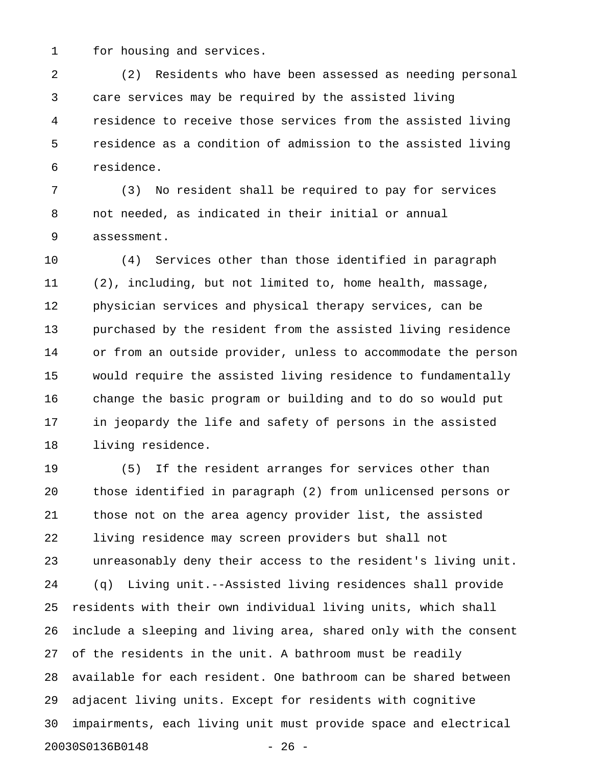1 for housing and services.

2 (2) Residents who have been assessed as needing personal 3 care services may be required by the assisted living 4 residence to receive those services from the assisted living 5 residence as a condition of admission to the assisted living 6 residence.

7 (3) No resident shall be required to pay for services 8 not needed, as indicated in their initial or annual 9 assessment.

10 (4) Services other than those identified in paragraph 11 (2), including, but not limited to, home health, massage, 12 physician services and physical therapy services, can be 13 purchased by the resident from the assisted living residence 14 or from an outside provider, unless to accommodate the person 15 would require the assisted living residence to fundamentally 16 change the basic program or building and to do so would put 17 in jeopardy the life and safety of persons in the assisted 18 living residence.

19 (5) If the resident arranges for services other than 20 those identified in paragraph (2) from unlicensed persons or 21 those not on the area agency provider list, the assisted 22 living residence may screen providers but shall not 23 unreasonably deny their access to the resident's living unit. 24 (q) Living unit.--Assisted living residences shall provide 25 residents with their own individual living units, which shall 26 include a sleeping and living area, shared only with the consent 27 of the residents in the unit. A bathroom must be readily 28 available for each resident. One bathroom can be shared between 29 adjacent living units. Except for residents with cognitive 30 impairments, each living unit must provide space and electrical 20030S0136B0148 - 26 -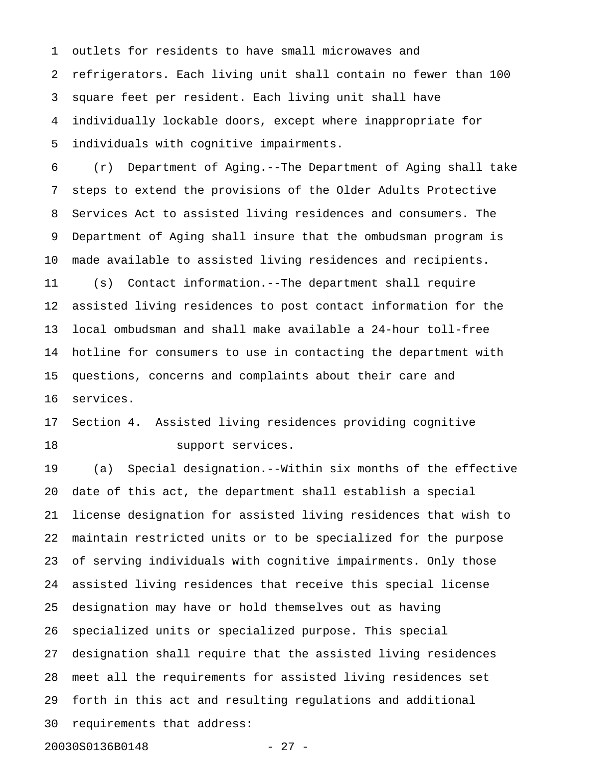1 outlets for residents to have small microwaves and 2 refrigerators. Each living unit shall contain no fewer than 100 3 square feet per resident. Each living unit shall have 4 individually lockable doors, except where inappropriate for 5 individuals with cognitive impairments.

6 (r) Department of Aging.--The Department of Aging shall take 7 steps to extend the provisions of the Older Adults Protective 8 Services Act to assisted living residences and consumers. The 9 Department of Aging shall insure that the ombudsman program is 10 made available to assisted living residences and recipients. 11 (s) Contact information.--The department shall require 12 assisted living residences to post contact information for the 13 local ombudsman and shall make available a 24-hour toll-free 14 hotline for consumers to use in contacting the department with 15 questions, concerns and complaints about their care and 16 services.

17 Section 4. Assisted living residences providing cognitive 18 support services.

19 (a) Special designation.--Within six months of the effective 20 date of this act, the department shall establish a special 21 license designation for assisted living residences that wish to 22 maintain restricted units or to be specialized for the purpose 23 of serving individuals with cognitive impairments. Only those 24 assisted living residences that receive this special license 25 designation may have or hold themselves out as having 26 specialized units or specialized purpose. This special 27 designation shall require that the assisted living residences 28 meet all the requirements for assisted living residences set 29 forth in this act and resulting regulations and additional 30 requirements that address:

20030S0136B0148 - 27 -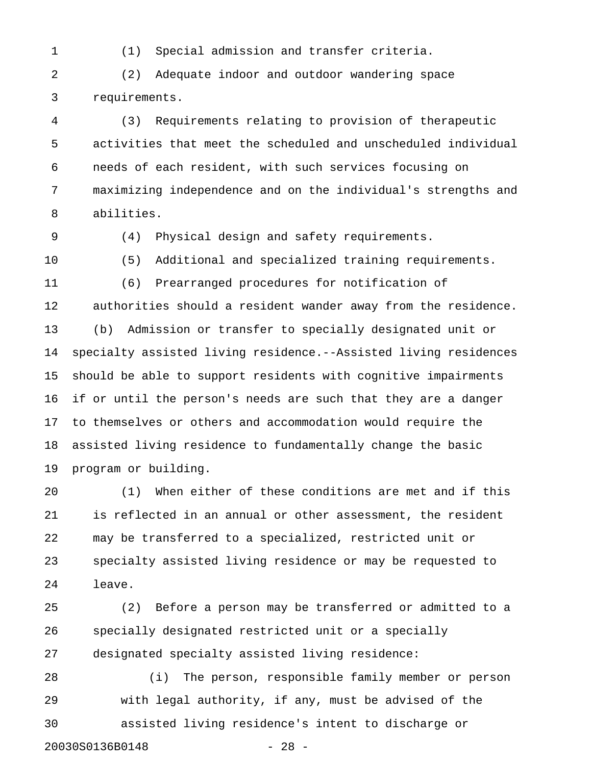1 (1) Special admission and transfer criteria.

2 (2) Adequate indoor and outdoor wandering space 3 requirements.

4 (3) Requirements relating to provision of therapeutic 5 activities that meet the scheduled and unscheduled individual 6 needs of each resident, with such services focusing on 7 maximizing independence and on the individual's strengths and 8 abilities.

9 (4) Physical design and safety requirements.

10 (5) Additional and specialized training requirements.

11 (6) Prearranged procedures for notification of 12 authorities should a resident wander away from the residence. 13 (b) Admission or transfer to specially designated unit or 14 specialty assisted living residence.--Assisted living residences 15 should be able to support residents with cognitive impairments 16 if or until the person's needs are such that they are a danger 17 to themselves or others and accommodation would require the 18 assisted living residence to fundamentally change the basic 19 program or building.

20 (1) When either of these conditions are met and if this 21 is reflected in an annual or other assessment, the resident 22 may be transferred to a specialized, restricted unit or 23 specialty assisted living residence or may be requested to 24 leave.

25 (2) Before a person may be transferred or admitted to a 26 specially designated restricted unit or a specially 27 designated specialty assisted living residence:

28 (i) The person, responsible family member or person 29 with legal authority, if any, must be advised of the 30 assisted living residence's intent to discharge or 20030S0136B0148 - 28 -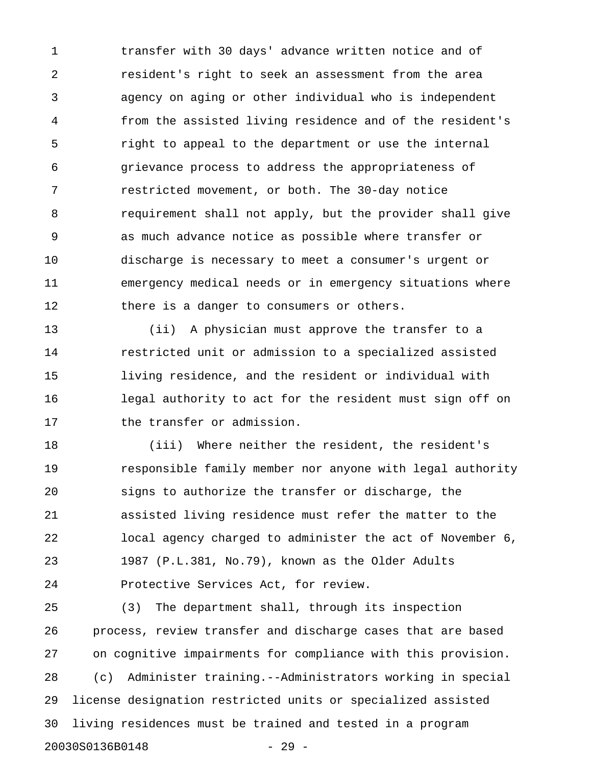1 transfer with 30 days' advance written notice and of 2 resident's right to seek an assessment from the area 3 agency on aging or other individual who is independent 4 from the assisted living residence and of the resident's 5 right to appeal to the department or use the internal 6 grievance process to address the appropriateness of 7 restricted movement, or both. The 30-day notice 8 requirement shall not apply, but the provider shall give 9 as much advance notice as possible where transfer or 10 discharge is necessary to meet a consumer's urgent or 11 emergency medical needs or in emergency situations where 12 there is a danger to consumers or others.

13 (ii) A physician must approve the transfer to a 14 restricted unit or admission to a specialized assisted 15 living residence, and the resident or individual with 16 legal authority to act for the resident must sign off on 17 the transfer or admission.

18 (iii) Where neither the resident, the resident's 19 responsible family member nor anyone with legal authority 20 signs to authorize the transfer or discharge, the 21 assisted living residence must refer the matter to the 22 local agency charged to administer the act of November 6, 23 1987 (P.L.381, No.79), known as the Older Adults 24 Protective Services Act, for review.

25 (3) The department shall, through its inspection 26 process, review transfer and discharge cases that are based 27 on cognitive impairments for compliance with this provision. 28 (c) Administer training.--Administrators working in special 29 license designation restricted units or specialized assisted 30 living residences must be trained and tested in a program 20030S0136B0148 - 29 -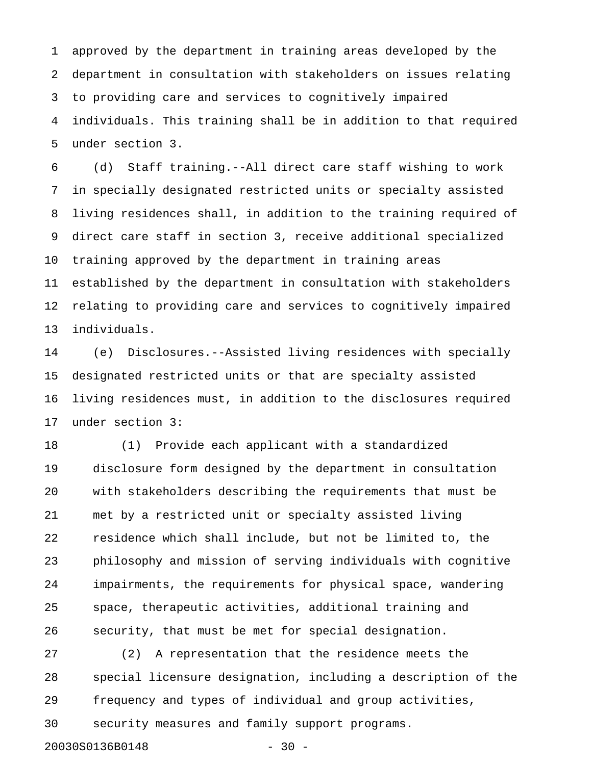1 approved by the department in training areas developed by the 2 department in consultation with stakeholders on issues relating 3 to providing care and services to cognitively impaired 4 individuals. This training shall be in addition to that required 5 under section 3.

6 (d) Staff training.--All direct care staff wishing to work 7 in specially designated restricted units or specialty assisted 8 living residences shall, in addition to the training required of 9 direct care staff in section 3, receive additional specialized 10 training approved by the department in training areas 11 established by the department in consultation with stakeholders 12 relating to providing care and services to cognitively impaired 13 individuals.

14 (e) Disclosures.--Assisted living residences with specially 15 designated restricted units or that are specialty assisted 16 living residences must, in addition to the disclosures required 17 under section 3:

18 (1) Provide each applicant with a standardized 19 disclosure form designed by the department in consultation 20 with stakeholders describing the requirements that must be 21 met by a restricted unit or specialty assisted living 22 residence which shall include, but not be limited to, the 23 philosophy and mission of serving individuals with cognitive 24 impairments, the requirements for physical space, wandering 25 space, therapeutic activities, additional training and 26 security, that must be met for special designation.

27 (2) A representation that the residence meets the 28 special licensure designation, including a description of the 29 frequency and types of individual and group activities, 30 security measures and family support programs.

20030S0136B0148 - 30 -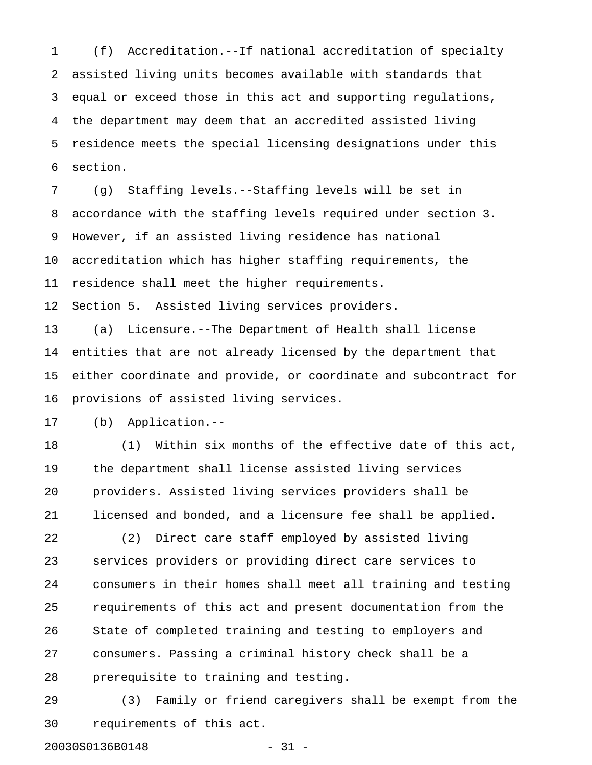1 (f) Accreditation.--If national accreditation of specialty 2 assisted living units becomes available with standards that 3 equal or exceed those in this act and supporting regulations, 4 the department may deem that an accredited assisted living 5 residence meets the special licensing designations under this 6 section.

7 (g) Staffing levels.--Staffing levels will be set in 8 accordance with the staffing levels required under section 3. 9 However, if an assisted living residence has national 10 accreditation which has higher staffing requirements, the 11 residence shall meet the higher requirements. 12 Section 5. Assisted living services providers.

13 (a) Licensure.--The Department of Health shall license 14 entities that are not already licensed by the department that 15 either coordinate and provide, or coordinate and subcontract for 16 provisions of assisted living services.

17 (b) Application.--

18 (1) Within six months of the effective date of this act, 19 the department shall license assisted living services 20 providers. Assisted living services providers shall be 21 licensed and bonded, and a licensure fee shall be applied.

22 (2) Direct care staff employed by assisted living 23 services providers or providing direct care services to 24 consumers in their homes shall meet all training and testing 25 requirements of this act and present documentation from the 26 State of completed training and testing to employers and 27 consumers. Passing a criminal history check shall be a 28 prerequisite to training and testing.

29 (3) Family or friend caregivers shall be exempt from the 30 requirements of this act.

20030S0136B0148 - 31 -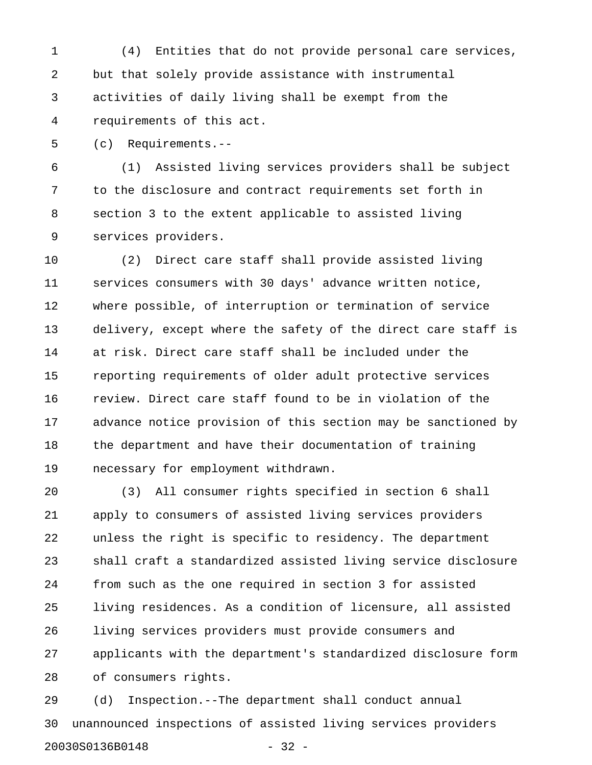1 (4) Entities that do not provide personal care services, 2 but that solely provide assistance with instrumental 3 activities of daily living shall be exempt from the 4 requirements of this act.

5 (c) Requirements.--

6 (1) Assisted living services providers shall be subject 7 to the disclosure and contract requirements set forth in 8 section 3 to the extent applicable to assisted living 9 services providers.

10 (2) Direct care staff shall provide assisted living 11 services consumers with 30 days' advance written notice, 12 where possible, of interruption or termination of service 13 delivery, except where the safety of the direct care staff is 14 at risk. Direct care staff shall be included under the 15 reporting requirements of older adult protective services 16 review. Direct care staff found to be in violation of the 17 advance notice provision of this section may be sanctioned by 18 the department and have their documentation of training 19 necessary for employment withdrawn.

20 (3) All consumer rights specified in section 6 shall 21 apply to consumers of assisted living services providers 22 unless the right is specific to residency. The department 23 shall craft a standardized assisted living service disclosure 24 from such as the one required in section 3 for assisted 25 living residences. As a condition of licensure, all assisted 26 living services providers must provide consumers and 27 applicants with the department's standardized disclosure form 28 of consumers rights.

29 (d) Inspection.--The department shall conduct annual 30 unannounced inspections of assisted living services providers 20030S0136B0148 - 32 -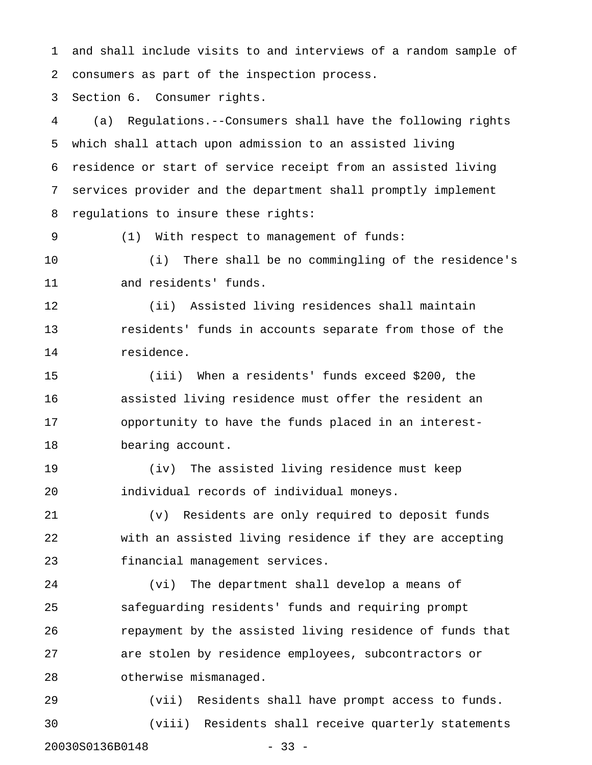1 and shall include visits to and interviews of a random sample of 2 consumers as part of the inspection process.

3 Section 6. Consumer rights.

4 (a) Regulations.--Consumers shall have the following rights 5 which shall attach upon admission to an assisted living 6 residence or start of service receipt from an assisted living 7 services provider and the department shall promptly implement 8 regulations to insure these rights:

9 (1) With respect to management of funds:

10 (i) There shall be no commingling of the residence's 11 and residents' funds.

12 (ii) Assisted living residences shall maintain 13 residents' funds in accounts separate from those of the 14 residence.

15 (iii) When a residents' funds exceed \$200, the 16 assisted living residence must offer the resident an 17 opportunity to have the funds placed in an interest-18 bearing account.

19 (iv) The assisted living residence must keep 20 individual records of individual moneys.

21 (v) Residents are only required to deposit funds 22 with an assisted living residence if they are accepting 23 financial management services.

24 (vi) The department shall develop a means of 25 safeguarding residents' funds and requiring prompt 26 repayment by the assisted living residence of funds that 27 are stolen by residence employees, subcontractors or 28 otherwise mismanaged.

29 (vii) Residents shall have prompt access to funds. 30 (viii) Residents shall receive quarterly statements 20030S0136B0148 - 33 -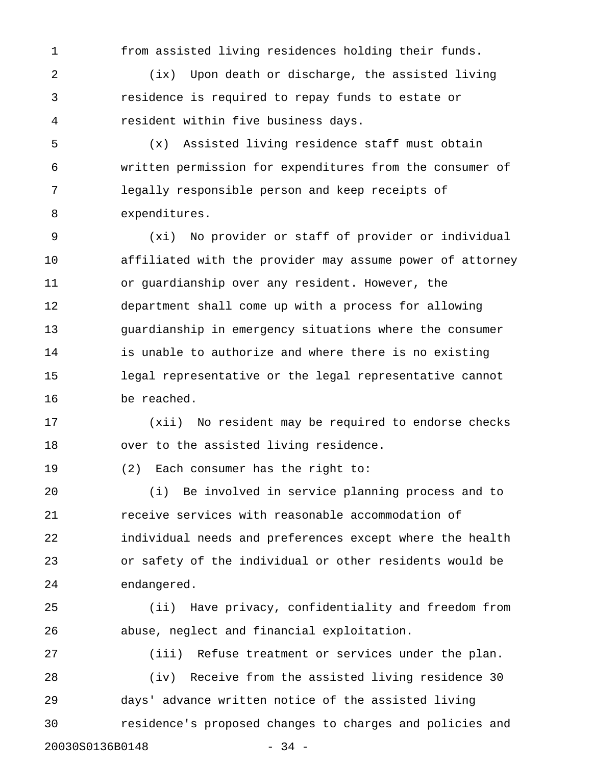1 from assisted living residences holding their funds.

2 (ix) Upon death or discharge, the assisted living 3 residence is required to repay funds to estate or 4 resident within five business days.

5 (x) Assisted living residence staff must obtain 6 written permission for expenditures from the consumer of 7 legally responsible person and keep receipts of 8 expenditures.

9 (xi) No provider or staff of provider or individual 10 affiliated with the provider may assume power of attorney 11 or guardianship over any resident. However, the 12 department shall come up with a process for allowing 13 guardianship in emergency situations where the consumer 14 is unable to authorize and where there is no existing 15 legal representative or the legal representative cannot 16 be reached.

17 (xii) No resident may be required to endorse checks 18 over to the assisted living residence.

19 (2) Each consumer has the right to:

20 (i) Be involved in service planning process and to 21 receive services with reasonable accommodation of 22 individual needs and preferences except where the health 23 or safety of the individual or other residents would be 24 endangered.

25 (ii) Have privacy, confidentiality and freedom from 26 abuse, neglect and financial exploitation.

27 (iii) Refuse treatment or services under the plan. 28 (iv) Receive from the assisted living residence 30 29 days' advance written notice of the assisted living 30 residence's proposed changes to charges and policies and 20030S0136B0148 - 34 -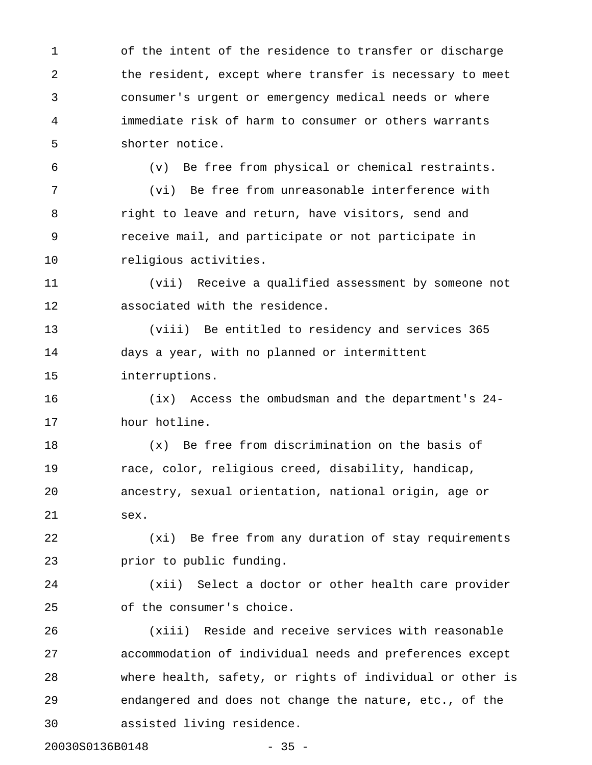1 of the intent of the residence to transfer or discharge 2 the resident, except where transfer is necessary to meet 3 consumer's urgent or emergency medical needs or where 4 immediate risk of harm to consumer or others warrants 5 shorter notice.

6 (v) Be free from physical or chemical restraints.

7 (vi) Be free from unreasonable interference with 8 right to leave and return, have visitors, send and 9 receive mail, and participate or not participate in 10 religious activities.

11 (vii) Receive a qualified assessment by someone not 12 associated with the residence.

13 (viii) Be entitled to residency and services 365 14 days a year, with no planned or intermittent 15 interruptions.

16 (ix) Access the ombudsman and the department's 24- 17 hour hotline.

18 (x) Be free from discrimination on the basis of 19 race, color, religious creed, disability, handicap, 20 ancestry, sexual orientation, national origin, age or 21 sex.

22 (xi) Be free from any duration of stay requirements 23 prior to public funding.

24 (xii) Select a doctor or other health care provider 25 of the consumer's choice.

26 (xiii) Reside and receive services with reasonable 27 accommodation of individual needs and preferences except 28 where health, safety, or rights of individual or other is 29 endangered and does not change the nature, etc., of the 30 assisted living residence.

20030S0136B0148 - 35 -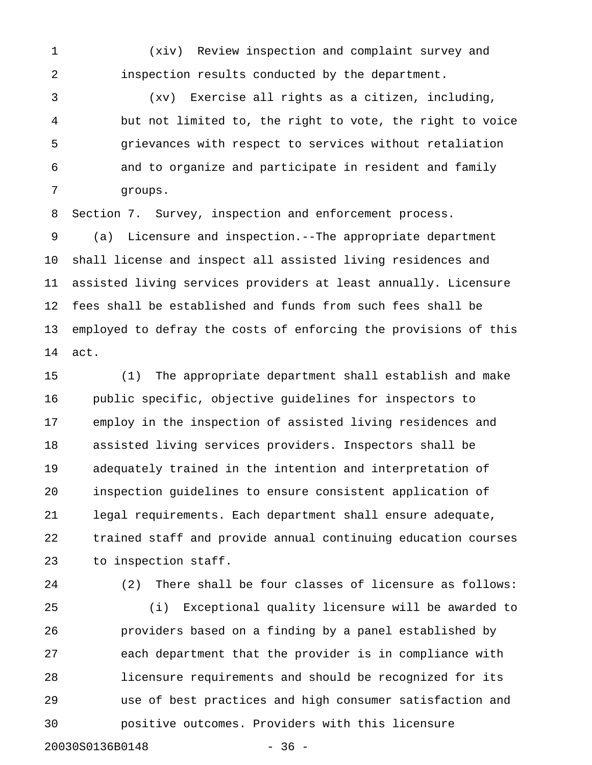1 (xiv) Review inspection and complaint survey and 2 inspection results conducted by the department.

3 (xv) Exercise all rights as a citizen, including, 4 but not limited to, the right to vote, the right to voice 5 grievances with respect to services without retaliation 6 and to organize and participate in resident and family 7 groups.

8 Section 7. Survey, inspection and enforcement process.

9 (a) Licensure and inspection.--The appropriate department 10 shall license and inspect all assisted living residences and 11 assisted living services providers at least annually. Licensure 12 fees shall be established and funds from such fees shall be 13 employed to defray the costs of enforcing the provisions of this 14 act.

15 (1) The appropriate department shall establish and make 16 public specific, objective guidelines for inspectors to 17 employ in the inspection of assisted living residences and 18 assisted living services providers. Inspectors shall be 19 adequately trained in the intention and interpretation of 20 inspection guidelines to ensure consistent application of 21 legal requirements. Each department shall ensure adequate, 22 trained staff and provide annual continuing education courses 23 to inspection staff.

24 (2) There shall be four classes of licensure as follows: 25 (i) Exceptional quality licensure will be awarded to 26 providers based on a finding by a panel established by 27 each department that the provider is in compliance with 28 licensure requirements and should be recognized for its 29 use of best practices and high consumer satisfaction and 30 positive outcomes. Providers with this licensure 20030S0136B0148 - 36 -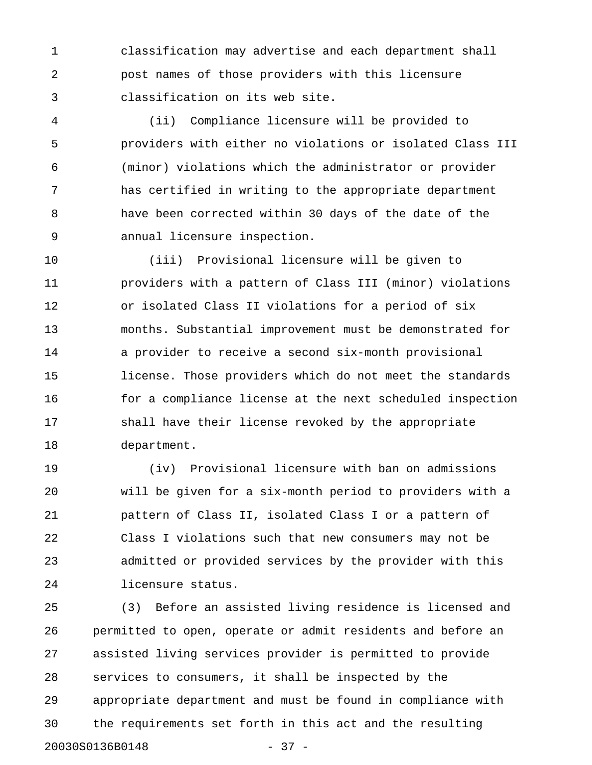1 classification may advertise and each department shall 2 post names of those providers with this licensure 3 classification on its web site.

4 (ii) Compliance licensure will be provided to 5 providers with either no violations or isolated Class III 6 (minor) violations which the administrator or provider 7 has certified in writing to the appropriate department 8 have been corrected within 30 days of the date of the 9 annual licensure inspection.

10 (iii) Provisional licensure will be given to 11 providers with a pattern of Class III (minor) violations 12 or isolated Class II violations for a period of six 13 months. Substantial improvement must be demonstrated for 14 a provider to receive a second six-month provisional 15 license. Those providers which do not meet the standards 16 for a compliance license at the next scheduled inspection 17 shall have their license revoked by the appropriate 18 department.

19 (iv) Provisional licensure with ban on admissions 20 will be given for a six-month period to providers with a 21 pattern of Class II, isolated Class I or a pattern of 22 Class I violations such that new consumers may not be 23 admitted or provided services by the provider with this 24 licensure status.

25 (3) Before an assisted living residence is licensed and 26 permitted to open, operate or admit residents and before an 27 assisted living services provider is permitted to provide 28 services to consumers, it shall be inspected by the 29 appropriate department and must be found in compliance with 30 the requirements set forth in this act and the resulting 20030S0136B0148 - 37 -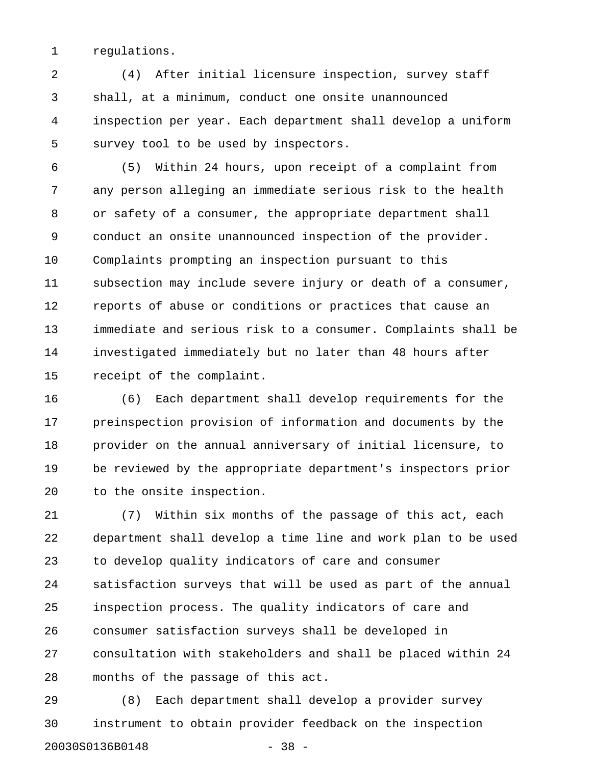1 regulations.

2 (4) After initial licensure inspection, survey staff 3 shall, at a minimum, conduct one onsite unannounced 4 inspection per year. Each department shall develop a uniform 5 survey tool to be used by inspectors.

6 (5) Within 24 hours, upon receipt of a complaint from 7 any person alleging an immediate serious risk to the health 8 or safety of a consumer, the appropriate department shall 9 conduct an onsite unannounced inspection of the provider. 10 Complaints prompting an inspection pursuant to this 11 subsection may include severe injury or death of a consumer, 12 reports of abuse or conditions or practices that cause an 13 immediate and serious risk to a consumer. Complaints shall be 14 investigated immediately but no later than 48 hours after 15 receipt of the complaint.

16 (6) Each department shall develop requirements for the 17 preinspection provision of information and documents by the 18 provider on the annual anniversary of initial licensure, to 19 be reviewed by the appropriate department's inspectors prior 20 to the onsite inspection.

21 (7) Within six months of the passage of this act, each 22 department shall develop a time line and work plan to be used 23 to develop quality indicators of care and consumer 24 satisfaction surveys that will be used as part of the annual 25 inspection process. The quality indicators of care and 26 consumer satisfaction surveys shall be developed in 27 consultation with stakeholders and shall be placed within 24 28 months of the passage of this act.

29 (8) Each department shall develop a provider survey 30 instrument to obtain provider feedback on the inspection 20030S0136B0148 - 38 -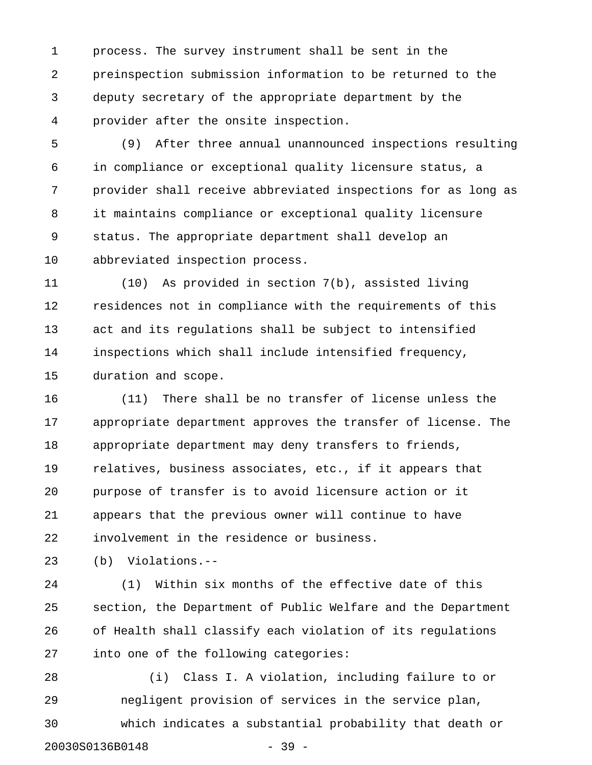1 process. The survey instrument shall be sent in the 2 preinspection submission information to be returned to the 3 deputy secretary of the appropriate department by the 4 provider after the onsite inspection.

5 (9) After three annual unannounced inspections resulting 6 in compliance or exceptional quality licensure status, a 7 provider shall receive abbreviated inspections for as long as 8 it maintains compliance or exceptional quality licensure 9 status. The appropriate department shall develop an 10 abbreviated inspection process.

11 (10) As provided in section 7(b), assisted living 12 residences not in compliance with the requirements of this 13 act and its regulations shall be subject to intensified 14 inspections which shall include intensified frequency, 15 duration and scope.

16 (11) There shall be no transfer of license unless the 17 appropriate department approves the transfer of license. The 18 appropriate department may deny transfers to friends, 19 relatives, business associates, etc., if it appears that 20 purpose of transfer is to avoid licensure action or it 21 appears that the previous owner will continue to have 22 involvement in the residence or business.

23 (b) Violations.--

24 (1) Within six months of the effective date of this 25 section, the Department of Public Welfare and the Department 26 of Health shall classify each violation of its regulations 27 into one of the following categories:

28 (i) Class I. A violation, including failure to or 29 negligent provision of services in the service plan, 30 which indicates a substantial probability that death or 20030S0136B0148 - 39 -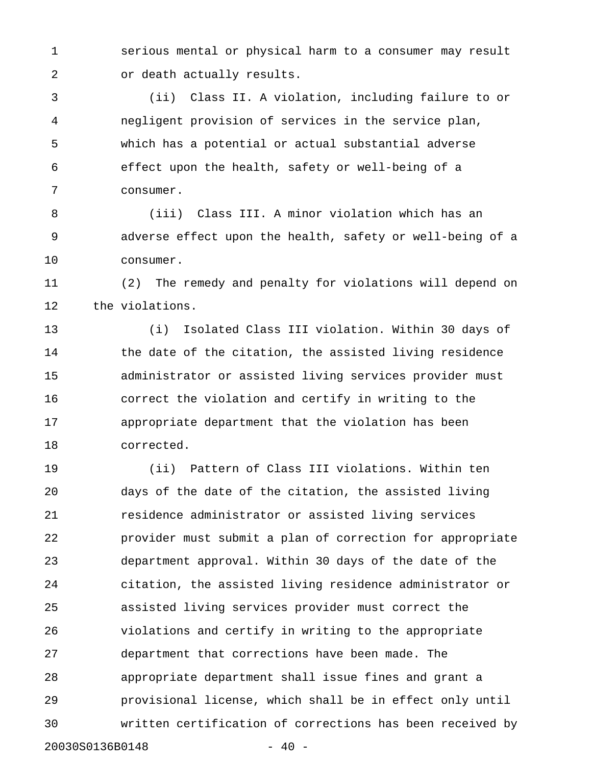1 serious mental or physical harm to a consumer may result 2 or death actually results.

3 (ii) Class II. A violation, including failure to or 4 negligent provision of services in the service plan, 5 which has a potential or actual substantial adverse 6 effect upon the health, safety or well-being of a 7 consumer.

8 (iii) Class III. A minor violation which has an 9 adverse effect upon the health, safety or well-being of a 10 consumer.

11 (2) The remedy and penalty for violations will depend on 12 the violations.

13 (i) Isolated Class III violation. Within 30 days of 14 the date of the citation, the assisted living residence 15 administrator or assisted living services provider must 16 correct the violation and certify in writing to the 17 appropriate department that the violation has been 18 corrected.

19 (ii) Pattern of Class III violations. Within ten 20 days of the date of the citation, the assisted living 21 residence administrator or assisted living services 22 provider must submit a plan of correction for appropriate 23 department approval. Within 30 days of the date of the 24 citation, the assisted living residence administrator or 25 assisted living services provider must correct the 26 violations and certify in writing to the appropriate 27 department that corrections have been made. The 28 appropriate department shall issue fines and grant a 29 provisional license, which shall be in effect only until 30 written certification of corrections has been received by 20030S0136B0148 - 40 -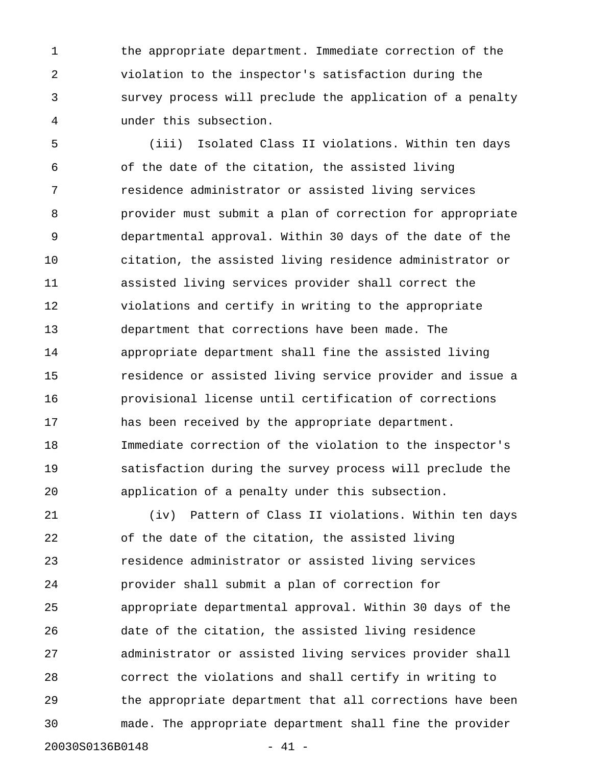1 the appropriate department. Immediate correction of the 2 violation to the inspector's satisfaction during the 3 survey process will preclude the application of a penalty 4 under this subsection.

5 (iii) Isolated Class II violations. Within ten days 6 of the date of the citation, the assisted living 7 residence administrator or assisted living services 8 provider must submit a plan of correction for appropriate 9 departmental approval. Within 30 days of the date of the 10 citation, the assisted living residence administrator or 11 assisted living services provider shall correct the 12 violations and certify in writing to the appropriate 13 department that corrections have been made. The 14 appropriate department shall fine the assisted living 15 residence or assisted living service provider and issue a 16 provisional license until certification of corrections 17 has been received by the appropriate department. 18 Immediate correction of the violation to the inspector's 19 satisfaction during the survey process will preclude the 20 application of a penalty under this subsection.

21 (iv) Pattern of Class II violations. Within ten days 22 of the date of the citation, the assisted living 23 residence administrator or assisted living services 24 provider shall submit a plan of correction for 25 appropriate departmental approval. Within 30 days of the 26 date of the citation, the assisted living residence 27 administrator or assisted living services provider shall 28 correct the violations and shall certify in writing to 29 the appropriate department that all corrections have been 30 made. The appropriate department shall fine the provider 20030S0136B0148 - 41 -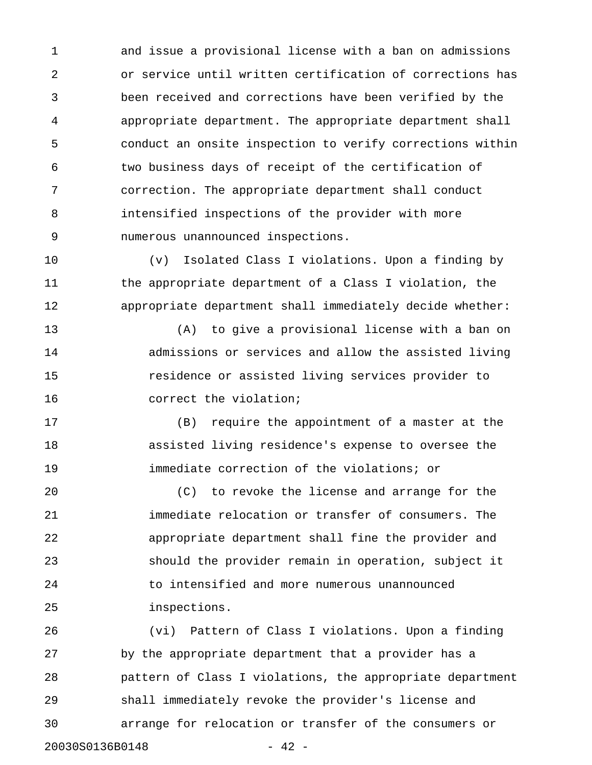1 and issue a provisional license with a ban on admissions 2 or service until written certification of corrections has 3 been received and corrections have been verified by the 4 appropriate department. The appropriate department shall 5 conduct an onsite inspection to verify corrections within 6 two business days of receipt of the certification of 7 correction. The appropriate department shall conduct 8 intensified inspections of the provider with more 9 numerous unannounced inspections.

10 (v) Isolated Class I violations. Upon a finding by 11 the appropriate department of a Class I violation, the 12 appropriate department shall immediately decide whether:

13 (A) to give a provisional license with a ban on 14 admissions or services and allow the assisted living 15 residence or assisted living services provider to 16 correct the violation;

17 (B) require the appointment of a master at the 18 assisted living residence's expense to oversee the 19 immediate correction of the violations; or

20 (C) to revoke the license and arrange for the 21 immediate relocation or transfer of consumers. The 22 appropriate department shall fine the provider and 23 should the provider remain in operation, subject it 24 to intensified and more numerous unannounced 25 inspections.

26 (vi) Pattern of Class I violations. Upon a finding 27 by the appropriate department that a provider has a 28 pattern of Class I violations, the appropriate department 29 shall immediately revoke the provider's license and 30 arrange for relocation or transfer of the consumers or 20030S0136B0148 - 42 -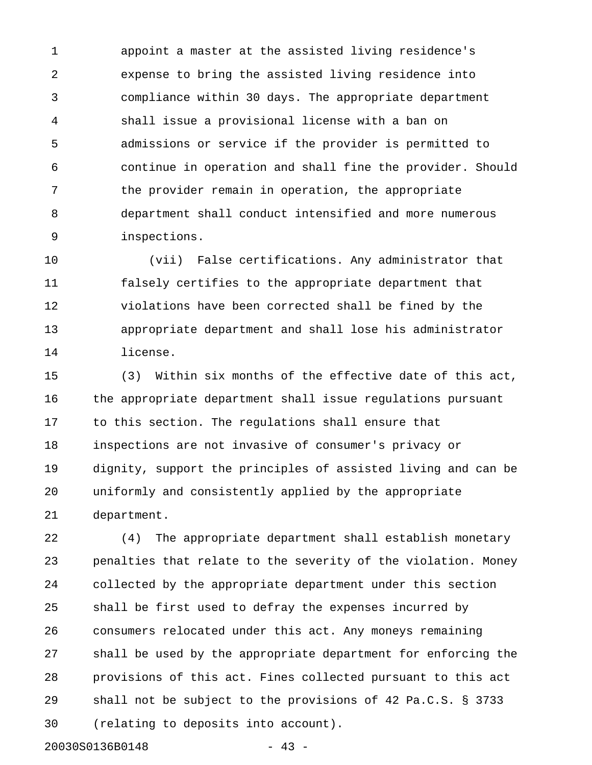1 appoint a master at the assisted living residence's 2 expense to bring the assisted living residence into 3 compliance within 30 days. The appropriate department 4 shall issue a provisional license with a ban on 5 admissions or service if the provider is permitted to 6 continue in operation and shall fine the provider. Should 7 the provider remain in operation, the appropriate 8 department shall conduct intensified and more numerous 9 inspections.

10 (vii) False certifications. Any administrator that 11 falsely certifies to the appropriate department that 12 violations have been corrected shall be fined by the 13 appropriate department and shall lose his administrator 14 license.

15 (3) Within six months of the effective date of this act, 16 the appropriate department shall issue regulations pursuant 17 to this section. The regulations shall ensure that 18 inspections are not invasive of consumer's privacy or 19 dignity, support the principles of assisted living and can be 20 uniformly and consistently applied by the appropriate 21 department.

22 (4) The appropriate department shall establish monetary 23 penalties that relate to the severity of the violation. Money 24 collected by the appropriate department under this section 25 shall be first used to defray the expenses incurred by 26 consumers relocated under this act. Any moneys remaining 27 shall be used by the appropriate department for enforcing the 28 provisions of this act. Fines collected pursuant to this act 29 shall not be subject to the provisions of 42 Pa.C.S. § 3733 30 (relating to deposits into account).

20030S0136B0148

$$
-43
$$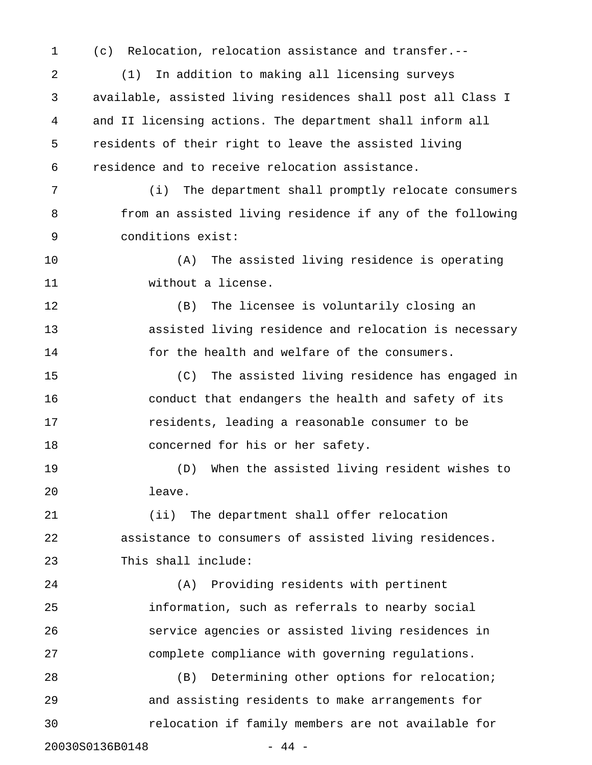1 (c) Relocation, relocation assistance and transfer.--

2 (1) In addition to making all licensing surveys 3 available, assisted living residences shall post all Class I 4 and II licensing actions. The department shall inform all 5 residents of their right to leave the assisted living 6 residence and to receive relocation assistance.

7 (i) The department shall promptly relocate consumers 8 from an assisted living residence if any of the following 9 conditions exist:

10 (A) The assisted living residence is operating 11 without a license.

12 (B) The licensee is voluntarily closing an 13 assisted living residence and relocation is necessary 14 for the health and welfare of the consumers.

15 (C) The assisted living residence has engaged in 16 conduct that endangers the health and safety of its 17 residents, leading a reasonable consumer to be 18 concerned for his or her safety.

19 (D) When the assisted living resident wishes to 20 leave.

21 (ii) The department shall offer relocation 22 assistance to consumers of assisted living residences. 23 This shall include:

24 (A) Providing residents with pertinent 25 information, such as referrals to nearby social 26 service agencies or assisted living residences in 27 complete compliance with governing regulations.

28 (B) Determining other options for relocation; 29 and assisting residents to make arrangements for 30 relocation if family members are not available for 20030S0136B0148 - 44 -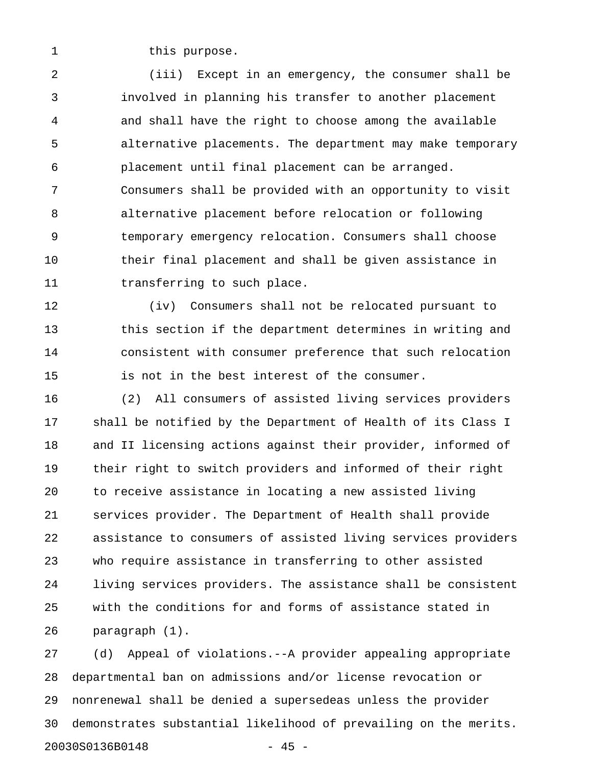1 this purpose.

2 (iii) Except in an emergency, the consumer shall be 3 involved in planning his transfer to another placement 4 and shall have the right to choose among the available 5 alternative placements. The department may make temporary 6 placement until final placement can be arranged. 7 Consumers shall be provided with an opportunity to visit 8 alternative placement before relocation or following 9 temporary emergency relocation. Consumers shall choose 10 their final placement and shall be given assistance in 11 transferring to such place.

12 (iv) Consumers shall not be relocated pursuant to 13 this section if the department determines in writing and 14 consistent with consumer preference that such relocation 15 is not in the best interest of the consumer.

16 (2) All consumers of assisted living services providers 17 shall be notified by the Department of Health of its Class I 18 and II licensing actions against their provider, informed of 19 their right to switch providers and informed of their right 20 to receive assistance in locating a new assisted living 21 services provider. The Department of Health shall provide 22 assistance to consumers of assisted living services providers 23 who require assistance in transferring to other assisted 24 living services providers. The assistance shall be consistent 25 with the conditions for and forms of assistance stated in 26 paragraph (1).

27 (d) Appeal of violations.--A provider appealing appropriate 28 departmental ban on admissions and/or license revocation or 29 nonrenewal shall be denied a supersedeas unless the provider 30 demonstrates substantial likelihood of prevailing on the merits. 20030S0136B0148 - 45 -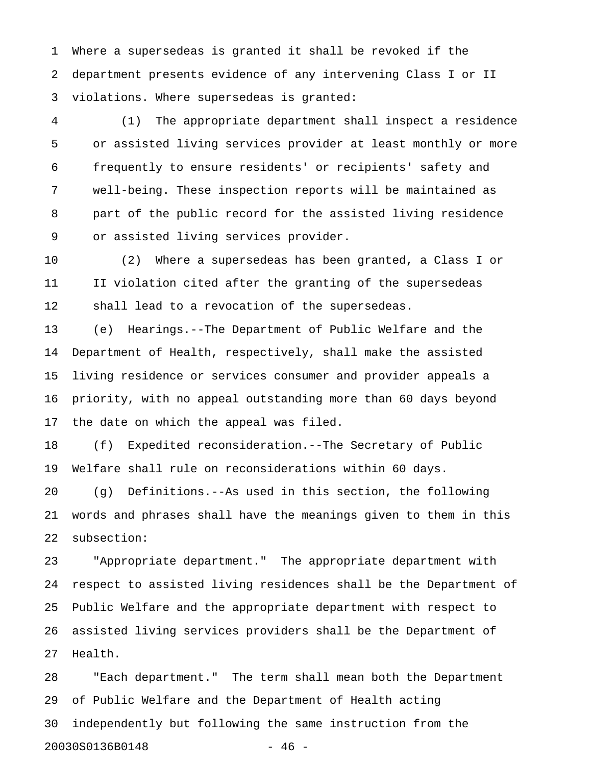1 Where a supersedeas is granted it shall be revoked if the 2 department presents evidence of any intervening Class I or II 3 violations. Where supersedeas is granted:

4 (1) The appropriate department shall inspect a residence 5 or assisted living services provider at least monthly or more 6 frequently to ensure residents' or recipients' safety and 7 well-being. These inspection reports will be maintained as 8 part of the public record for the assisted living residence 9 or assisted living services provider.

10 (2) Where a supersedeas has been granted, a Class I or 11 II violation cited after the granting of the supersedeas 12 shall lead to a revocation of the supersedeas.

13 (e) Hearings.--The Department of Public Welfare and the 14 Department of Health, respectively, shall make the assisted 15 living residence or services consumer and provider appeals a 16 priority, with no appeal outstanding more than 60 days beyond 17 the date on which the appeal was filed.

18 (f) Expedited reconsideration.--The Secretary of Public 19 Welfare shall rule on reconsiderations within 60 days.

20 (g) Definitions.--As used in this section, the following 21 words and phrases shall have the meanings given to them in this 22 subsection:

23 "Appropriate department." The appropriate department with 24 respect to assisted living residences shall be the Department of 25 Public Welfare and the appropriate department with respect to 26 assisted living services providers shall be the Department of 27 Health.

28 "Each department." The term shall mean both the Department 29 of Public Welfare and the Department of Health acting 30 independently but following the same instruction from the 20030S0136B0148 - 46 -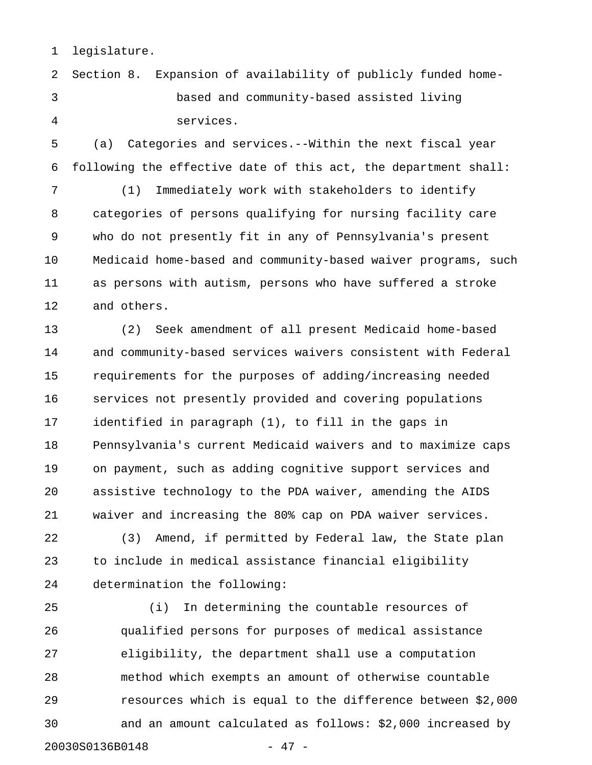1 legislature.

2 Section 8. Expansion of availability of publicly funded home-3 based and community-based assisted living 4 services.

5 (a) Categories and services.--Within the next fiscal year 6 following the effective date of this act, the department shall:

7 (1) Immediately work with stakeholders to identify 8 categories of persons qualifying for nursing facility care 9 who do not presently fit in any of Pennsylvania's present 10 Medicaid home-based and community-based waiver programs, such 11 as persons with autism, persons who have suffered a stroke 12 and others.

13 (2) Seek amendment of all present Medicaid home-based 14 and community-based services waivers consistent with Federal 15 requirements for the purposes of adding/increasing needed 16 services not presently provided and covering populations 17 identified in paragraph (1), to fill in the gaps in 18 Pennsylvania's current Medicaid waivers and to maximize caps 19 on payment, such as adding cognitive support services and 20 assistive technology to the PDA waiver, amending the AIDS 21 waiver and increasing the 80% cap on PDA waiver services.

22 (3) Amend, if permitted by Federal law, the State plan 23 to include in medical assistance financial eligibility 24 determination the following:

25 (i) In determining the countable resources of 26 qualified persons for purposes of medical assistance 27 eligibility, the department shall use a computation 28 method which exempts an amount of otherwise countable 29 resources which is equal to the difference between \$2,000 30 and an amount calculated as follows: \$2,000 increased by 20030S0136B0148 - 47 -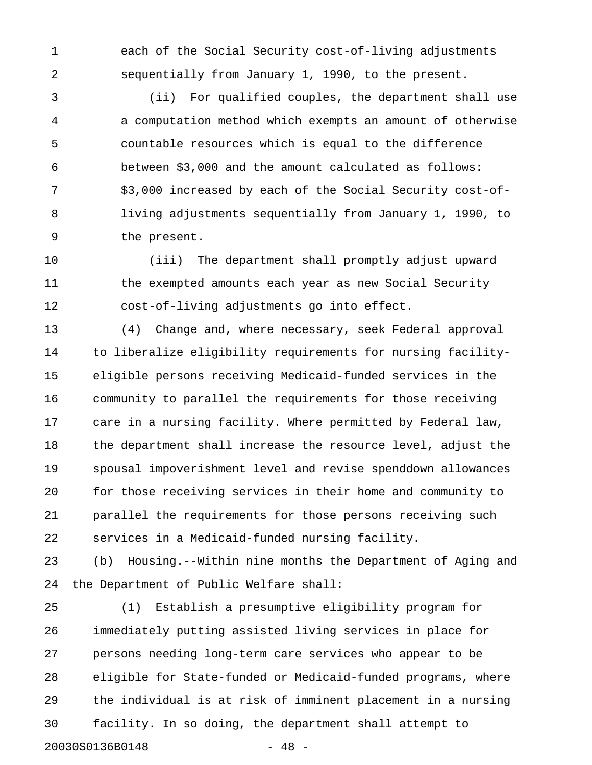1 each of the Social Security cost-of-living adjustments 2 sequentially from January 1, 1990, to the present.

3 (ii) For qualified couples, the department shall use 4 a computation method which exempts an amount of otherwise 5 countable resources which is equal to the difference 6 between \$3,000 and the amount calculated as follows: 7 \$3,000 increased by each of the Social Security cost-of-8 living adjustments sequentially from January 1, 1990, to 9 the present.

10 (iii) The department shall promptly adjust upward 11 the exempted amounts each year as new Social Security 12 cost-of-living adjustments go into effect.

13 (4) Change and, where necessary, seek Federal approval 14 to liberalize eligibility requirements for nursing facility-15 eligible persons receiving Medicaid-funded services in the 16 community to parallel the requirements for those receiving 17 care in a nursing facility. Where permitted by Federal law, 18 the department shall increase the resource level, adjust the 19 spousal impoverishment level and revise spenddown allowances 20 for those receiving services in their home and community to 21 parallel the requirements for those persons receiving such 22 services in a Medicaid-funded nursing facility.

23 (b) Housing.--Within nine months the Department of Aging and 24 the Department of Public Welfare shall:

25 (1) Establish a presumptive eligibility program for 26 immediately putting assisted living services in place for 27 persons needing long-term care services who appear to be 28 eligible for State-funded or Medicaid-funded programs, where 29 the individual is at risk of imminent placement in a nursing 30 facility. In so doing, the department shall attempt to 20030S0136B0148 - 48 -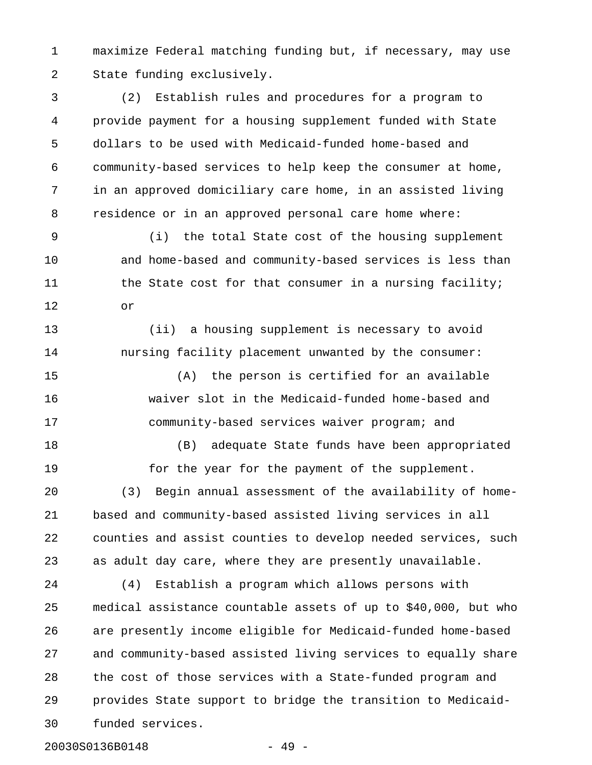1 maximize Federal matching funding but, if necessary, may use 2 State funding exclusively.

3 (2) Establish rules and procedures for a program to 4 provide payment for a housing supplement funded with State 5 dollars to be used with Medicaid-funded home-based and 6 community-based services to help keep the consumer at home, 7 in an approved domiciliary care home, in an assisted living 8 residence or in an approved personal care home where:

9 (i) the total State cost of the housing supplement 10 and home-based and community-based services is less than 11 the State cost for that consumer in a nursing facility; 12 or

13 (ii) a housing supplement is necessary to avoid 14 nursing facility placement unwanted by the consumer:

15 (A) the person is certified for an available 16 waiver slot in the Medicaid-funded home-based and 17 community-based services waiver program; and

18 (B) adequate State funds have been appropriated 19 for the year for the payment of the supplement. 20 (3) Begin annual assessment of the availability of home-21 based and community-based assisted living services in all 22 counties and assist counties to develop needed services, such 23 as adult day care, where they are presently unavailable.

24 (4) Establish a program which allows persons with 25 medical assistance countable assets of up to \$40,000, but who 26 are presently income eligible for Medicaid-funded home-based 27 and community-based assisted living services to equally share 28 the cost of those services with a State-funded program and 29 provides State support to bridge the transition to Medicaid-30 funded services.

20030S0136B0148 - 49 -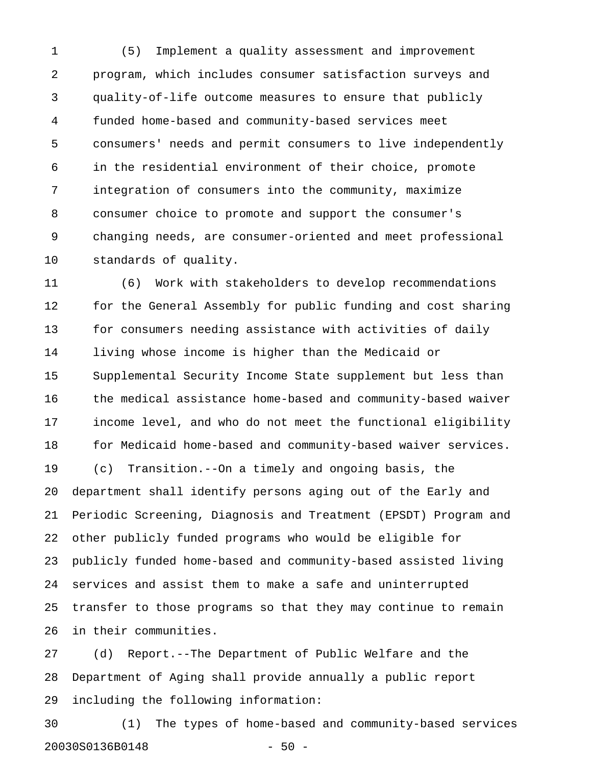1 (5) Implement a quality assessment and improvement 2 program, which includes consumer satisfaction surveys and 3 quality-of-life outcome measures to ensure that publicly 4 funded home-based and community-based services meet 5 consumers' needs and permit consumers to live independently 6 in the residential environment of their choice, promote 7 integration of consumers into the community, maximize 8 consumer choice to promote and support the consumer's 9 changing needs, are consumer-oriented and meet professional 10 standards of quality.

11 (6) Work with stakeholders to develop recommendations 12 for the General Assembly for public funding and cost sharing 13 for consumers needing assistance with activities of daily 14 living whose income is higher than the Medicaid or 15 Supplemental Security Income State supplement but less than 16 the medical assistance home-based and community-based waiver 17 income level, and who do not meet the functional eligibility 18 for Medicaid home-based and community-based waiver services. 19 (c) Transition.--On a timely and ongoing basis, the 20 department shall identify persons aging out of the Early and 21 Periodic Screening, Diagnosis and Treatment (EPSDT) Program and 22 other publicly funded programs who would be eligible for 23 publicly funded home-based and community-based assisted living 24 services and assist them to make a safe and uninterrupted 25 transfer to those programs so that they may continue to remain 26 in their communities.

27 (d) Report.--The Department of Public Welfare and the 28 Department of Aging shall provide annually a public report 29 including the following information:

30 (1) The types of home-based and community-based services 20030S0136B0148 - 50 -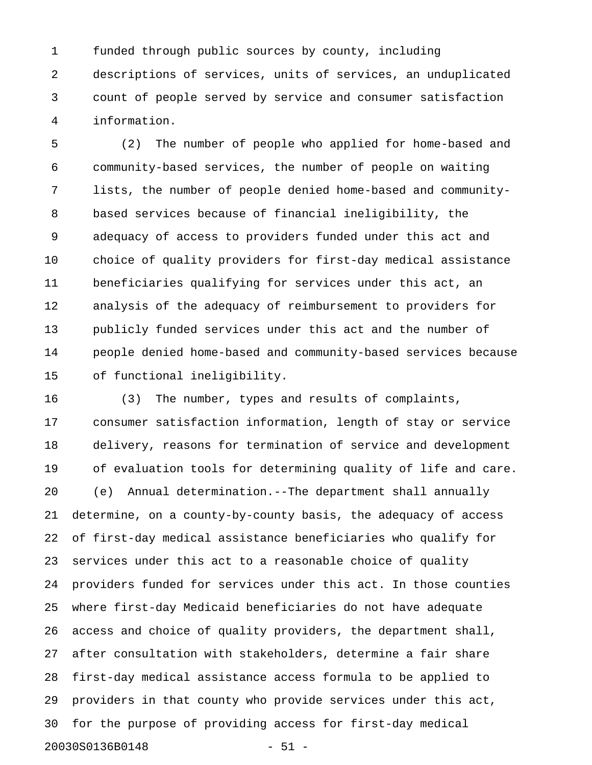1 funded through public sources by county, including 2 descriptions of services, units of services, an unduplicated 3 count of people served by service and consumer satisfaction 4 information.

5 (2) The number of people who applied for home-based and 6 community-based services, the number of people on waiting 7 lists, the number of people denied home-based and community-8 based services because of financial ineligibility, the 9 adequacy of access to providers funded under this act and 10 choice of quality providers for first-day medical assistance 11 beneficiaries qualifying for services under this act, an 12 analysis of the adequacy of reimbursement to providers for 13 publicly funded services under this act and the number of 14 people denied home-based and community-based services because 15 of functional ineligibility.

16 (3) The number, types and results of complaints, 17 consumer satisfaction information, length of stay or service 18 delivery, reasons for termination of service and development 19 of evaluation tools for determining quality of life and care. 20 (e) Annual determination.--The department shall annually 21 determine, on a county-by-county basis, the adequacy of access 22 of first-day medical assistance beneficiaries who qualify for 23 services under this act to a reasonable choice of quality 24 providers funded for services under this act. In those counties 25 where first-day Medicaid beneficiaries do not have adequate 26 access and choice of quality providers, the department shall, 27 after consultation with stakeholders, determine a fair share 28 first-day medical assistance access formula to be applied to 29 providers in that county who provide services under this act, 30 for the purpose of providing access for first-day medical 20030S0136B0148 - 51 -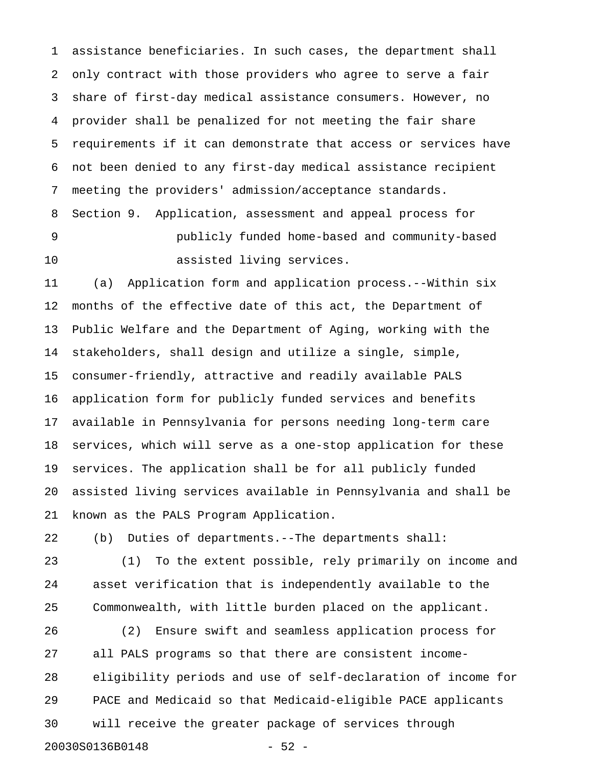1 assistance beneficiaries. In such cases, the department shall 2 only contract with those providers who agree to serve a fair 3 share of first-day medical assistance consumers. However, no 4 provider shall be penalized for not meeting the fair share 5 requirements if it can demonstrate that access or services have 6 not been denied to any first-day medical assistance recipient 7 meeting the providers' admission/acceptance standards. 8 Section 9. Application, assessment and appeal process for 9 publicly funded home-based and community-based

11 (a) Application form and application process.--Within six 12 months of the effective date of this act, the Department of 13 Public Welfare and the Department of Aging, working with the 14 stakeholders, shall design and utilize a single, simple, 15 consumer-friendly, attractive and readily available PALS 16 application form for publicly funded services and benefits 17 available in Pennsylvania for persons needing long-term care 18 services, which will serve as a one-stop application for these 19 services. The application shall be for all publicly funded 20 assisted living services available in Pennsylvania and shall be 21 known as the PALS Program Application.

22 (b) Duties of departments.--The departments shall:

10 assisted living services.

23 (1) To the extent possible, rely primarily on income and 24 asset verification that is independently available to the 25 Commonwealth, with little burden placed on the applicant.

26 (2) Ensure swift and seamless application process for 27 all PALS programs so that there are consistent income-28 eligibility periods and use of self-declaration of income for 29 PACE and Medicaid so that Medicaid-eligible PACE applicants 30 will receive the greater package of services through 20030S0136B0148 - 52 -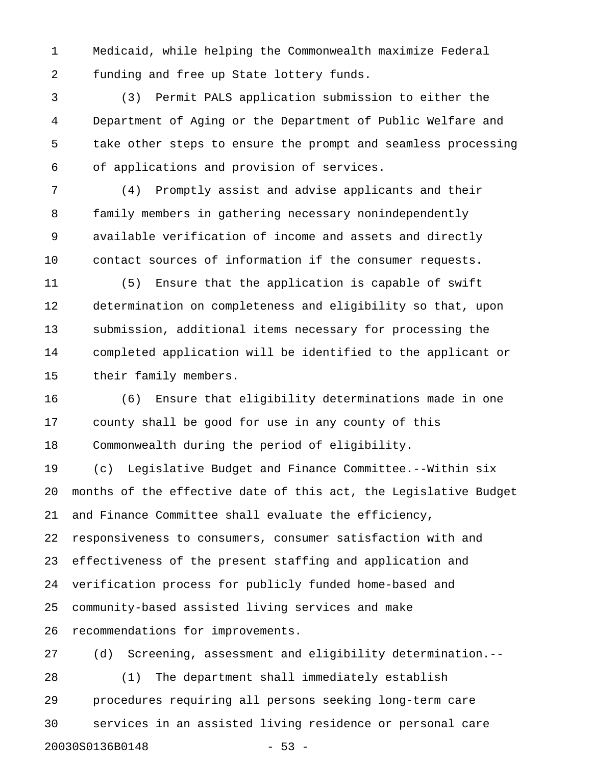1 Medicaid, while helping the Commonwealth maximize Federal 2 funding and free up State lottery funds.

3 (3) Permit PALS application submission to either the 4 Department of Aging or the Department of Public Welfare and 5 take other steps to ensure the prompt and seamless processing 6 of applications and provision of services.

7 (4) Promptly assist and advise applicants and their 8 family members in gathering necessary nonindependently 9 available verification of income and assets and directly 10 contact sources of information if the consumer requests.

11 (5) Ensure that the application is capable of swift 12 determination on completeness and eligibility so that, upon 13 submission, additional items necessary for processing the 14 completed application will be identified to the applicant or 15 their family members.

16 (6) Ensure that eligibility determinations made in one 17 county shall be good for use in any county of this 18 Commonwealth during the period of eligibility.

19 (c) Legislative Budget and Finance Committee.--Within six 20 months of the effective date of this act, the Legislative Budget 21 and Finance Committee shall evaluate the efficiency, 22 responsiveness to consumers, consumer satisfaction with and 23 effectiveness of the present staffing and application and 24 verification process for publicly funded home-based and 25 community-based assisted living services and make 26 recommendations for improvements.

27 (d) Screening, assessment and eligibility determination.-- 28 (1) The department shall immediately establish 29 procedures requiring all persons seeking long-term care 30 services in an assisted living residence or personal care 20030S0136B0148 - 53 -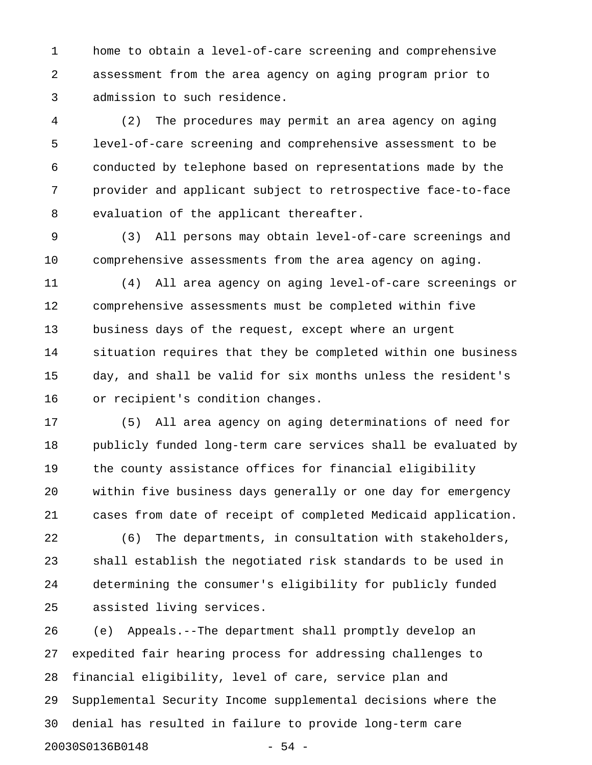1 home to obtain a level-of-care screening and comprehensive 2 assessment from the area agency on aging program prior to 3 admission to such residence.

4 (2) The procedures may permit an area agency on aging 5 level-of-care screening and comprehensive assessment to be 6 conducted by telephone based on representations made by the 7 provider and applicant subject to retrospective face-to-face 8 evaluation of the applicant thereafter.

9 (3) All persons may obtain level-of-care screenings and 10 comprehensive assessments from the area agency on aging.

11 (4) All area agency on aging level-of-care screenings or 12 comprehensive assessments must be completed within five 13 business days of the request, except where an urgent 14 situation requires that they be completed within one business 15 day, and shall be valid for six months unless the resident's 16 or recipient's condition changes.

17 (5) All area agency on aging determinations of need for 18 publicly funded long-term care services shall be evaluated by 19 the county assistance offices for financial eligibility 20 within five business days generally or one day for emergency 21 cases from date of receipt of completed Medicaid application.

22 (6) The departments, in consultation with stakeholders, 23 shall establish the negotiated risk standards to be used in 24 determining the consumer's eligibility for publicly funded 25 assisted living services.

26 (e) Appeals.--The department shall promptly develop an 27 expedited fair hearing process for addressing challenges to 28 financial eligibility, level of care, service plan and 29 Supplemental Security Income supplemental decisions where the 30 denial has resulted in failure to provide long-term care 20030S0136B0148 - 54 -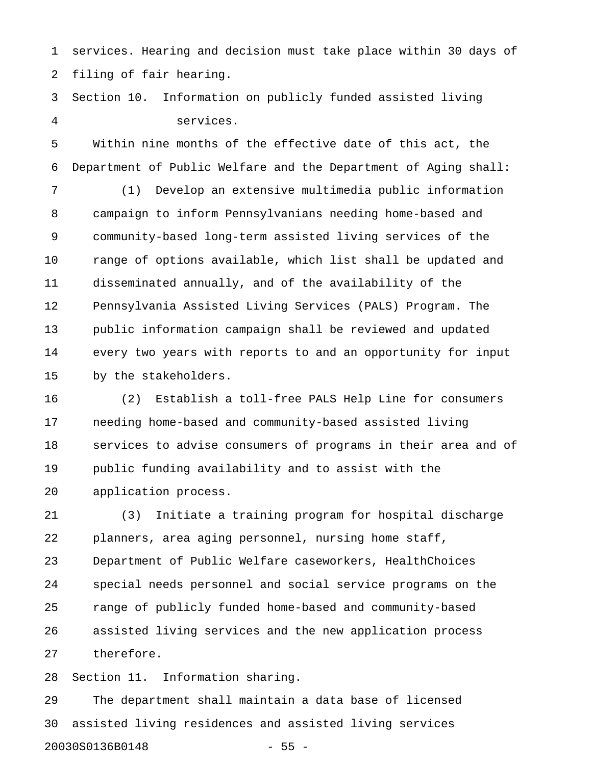1 services. Hearing and decision must take place within 30 days of 2 filing of fair hearing.

3 Section 10. Information on publicly funded assisted living 4 services.

5 Within nine months of the effective date of this act, the 6 Department of Public Welfare and the Department of Aging shall:

7 (1) Develop an extensive multimedia public information 8 campaign to inform Pennsylvanians needing home-based and 9 community-based long-term assisted living services of the 10 range of options available, which list shall be updated and 11 disseminated annually, and of the availability of the 12 Pennsylvania Assisted Living Services (PALS) Program. The 13 public information campaign shall be reviewed and updated 14 every two years with reports to and an opportunity for input 15 by the stakeholders.

16 (2) Establish a toll-free PALS Help Line for consumers 17 needing home-based and community-based assisted living 18 services to advise consumers of programs in their area and of 19 public funding availability and to assist with the 20 application process.

21 (3) Initiate a training program for hospital discharge 22 planners, area aging personnel, nursing home staff, 23 Department of Public Welfare caseworkers, HealthChoices 24 special needs personnel and social service programs on the 25 range of publicly funded home-based and community-based 26 assisted living services and the new application process 27 therefore.

28 Section 11. Information sharing.

29 The department shall maintain a data base of licensed 30 assisted living residences and assisted living services 20030S0136B0148 - 55 -